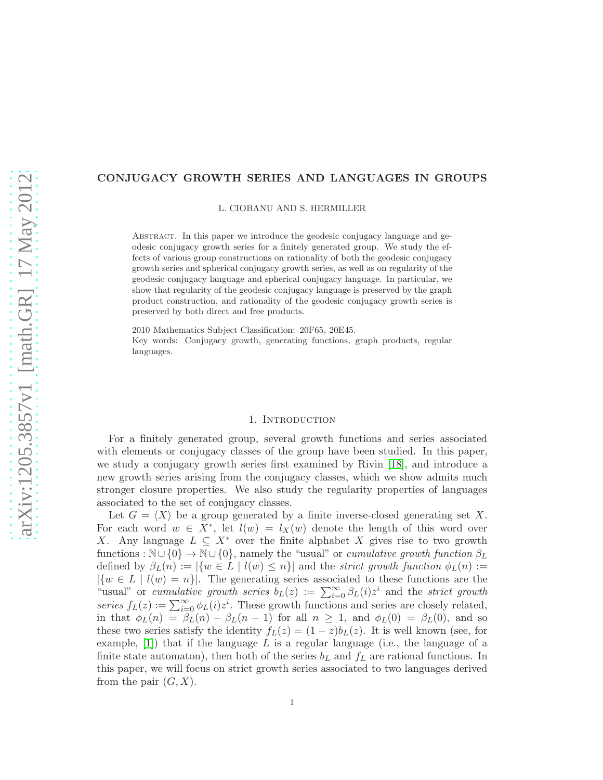#### CONJUGACY GROWTH SERIES AND LANGUAGES IN GROUPS

L. CIOBANU AND S. HERMILLER

Abstract. In this paper we introduce the geodesic conjugacy language and geodesic conjugacy growth series for a finitely generated group. We study the effects of various group constructions on rationality of both the geodesic conjugacy growth series and spherical conjugacy growth series, as well as on regularity of the geodesic conjugacy language and spherical conjugacy language. In particular, we show that regularity of the geodesic conjugacy language is preserved by the graph product construction, and rationality of the geodesic conjugacy growth series is preserved by both direct and free products.

2010 Mathematics Subject Classification: 20F65, 20E45. Key words: Conjugacy growth, generating functions, graph products, regular languages.

#### 1. Introduction

<span id="page-0-0"></span>For a finitely generated group, several growth functions and series associated with elements or conjugacy classes of the group have been studied. In this paper, we study a conjugacy growth series first examined by Rivin [\[18\]](#page-24-0), and introduce a new growth series arising from the conjugacy classes, which we show admits much stronger closure properties. We also study the regularity properties of languages associated to the set of conjugacy classes.

Let  $G = \langle X \rangle$  be a group generated by a finite inverse-closed generating set X. For each word  $w \in X^*$ , let  $l(w) = l_X(w)$  denote the length of this word over X. Any language  $L \subseteq X^*$  over the finite alphabet X gives rise to two growth functions :  $\mathbb{N} \cup \{0\} \rightarrow \mathbb{N} \cup \{0\}$ , namely the "usual" or cumulative growth function  $\beta_L$ defined by  $\beta_L(n) := |\{w \in L \mid l(w) \leq n\}|$  and the *strict growth function*  $\phi_L(n) :=$  $|\{w \in L \mid l(w) = n\}|$ . The generating series associated to these functions are the "usual" or cumulative growth series  $b_L(z) := \sum_{i=0}^{\infty} \beta_L(i) z^i$  and the strict growth series  $f_L(z) := \sum_{i=0}^{\infty} \phi_L(i) z^i$ . These growth functions and series are closely related, in that  $\phi_L(n) = \beta_L(n) - \beta_L(n-1)$  for all  $n \geq 1$ , and  $\phi_L(0) = \beta_L(0)$ , and so these two series satisfy the identity  $f_L(z) = (1-z)b_L(z)$ . It is well known (see, for example,  $[1]$ ) that if the language L is a regular language (i.e., the language of a finite state automaton), then both of the series  $b<sub>L</sub>$  and  $f<sub>L</sub>$  are rational functions. In this paper, we will focus on strict growth series associated to two languages derived from the pair  $(G, X)$ .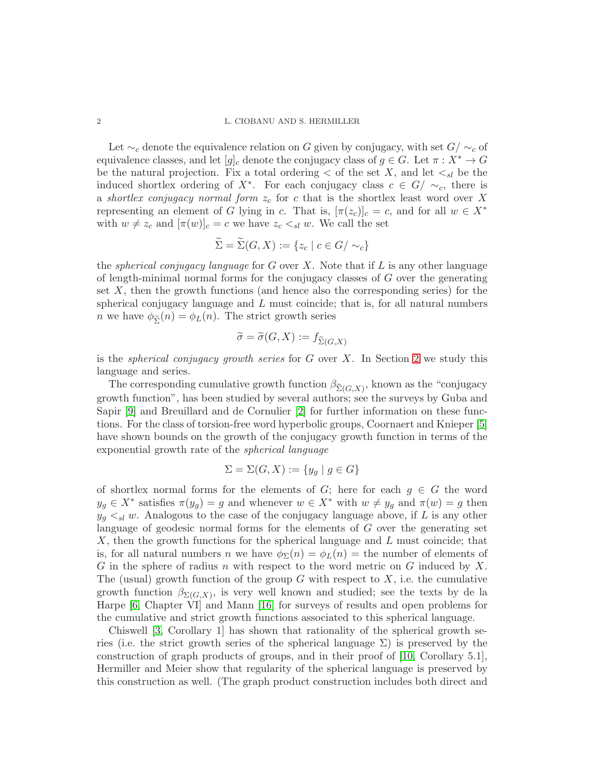Let  $\sim_c$  denote the equivalence relation on G given by conjugacy, with set  $G/\sim_c$  of equivalence classes, and let  $[g]_c$  denote the conjugacy class of  $g \in G$ . Let  $\pi : X^* \to G$ be the natural projection. Fix a total ordering  $\lt$  of the set X, and let  $\lt_{sl}$  be the induced shortlex ordering of  $X^*$ . For each conjugacy class  $c \in G / \sim_c$ , there is a shortlex conjugacy normal form  $z_c$  for c that is the shortlex least word over X representing an element of G lying in c. That is,  $[\pi(z_c)]_c = c$ , and for all  $w \in X^*$ with  $w \neq z_c$  and  $[\pi(w)]_c = c$  we have  $z_c \lt_{sl} w$ . We call the set

$$
\Sigma = \Sigma(G, X) := \{z_c \mid c \in G/\sim_c\}
$$

the *spherical conjugacy language* for  $G$  over  $X$ . Note that if  $L$  is any other language of length-minimal normal forms for the conjugacy classes of G over the generating set  $X$ , then the growth functions (and hence also the corresponding series) for the spherical conjugacy language and  $L$  must coincide; that is, for all natural numbers *n* we have  $\phi_{\tilde{\Sigma}}(n) = \phi_L(n)$ . The strict growth series

$$
\widetilde{\sigma} = \widetilde{\sigma}(G, X) := f_{\widetilde{\Sigma}(G, X)}
$$

is the *spherical conjugacy growth series* for  $G$  over  $X$ . In Section [2](#page-4-0) we study this language and series.

The corresponding cumulative growth function  $\beta_{\widetilde{ \Sigma}(G, X)}$ , known as the "conjugacy" growth function", has been studied by several authors; see the surveys by Guba and Sapir [\[9\]](#page-23-1) and Breuillard and de Cornulier [\[2\]](#page-23-2) for further information on these functions. For the class of torsion-free word hyperbolic groups, Coornaert and Knieper [\[5\]](#page-23-3) have shown bounds on the growth of the conjugacy growth function in terms of the exponential growth rate of the spherical language

$$
\Sigma = \Sigma(G, X) := \{ y_g \mid g \in G \}
$$

of shortlex normal forms for the elements of G; here for each  $g \in G$  the word  $y_g \in X^*$  satisfies  $\pi(y_g) = g$  and whenever  $w \in X^*$  with  $w \neq y_g$  and  $\pi(w) = g$  then  $y_q \leq_{sl} w$ . Analogous to the case of the conjugacy language above, if L is any other language of geodesic normal forms for the elements of G over the generating set X, then the growth functions for the spherical language and L must coincide; that is, for all natural numbers n we have  $\phi_{\Sigma}(n) = \phi_L(n) = \text{the number of elements of}$ G in the sphere of radius n with respect to the word metric on G induced by X. The (usual) growth function of the group  $G$  with respect to  $X$ , i.e. the cumulative growth function  $\beta_{\Sigma(G,X)}$ , is very well known and studied; see the texts by de la Harpe [\[6,](#page-23-4) Chapter VI] and Mann [\[16\]](#page-24-1) for surveys of results and open problems for the cumulative and strict growth functions associated to this spherical language.

Chiswell [\[3,](#page-23-5) Corollary 1] has shown that rationality of the spherical growth series (i.e. the strict growth series of the spherical language  $\Sigma$ ) is preserved by the construction of graph products of groups, and in their proof of [\[10,](#page-23-6) Corollary 5.1], Hermiller and Meier show that regularity of the spherical language is preserved by this construction as well. (The graph product construction includes both direct and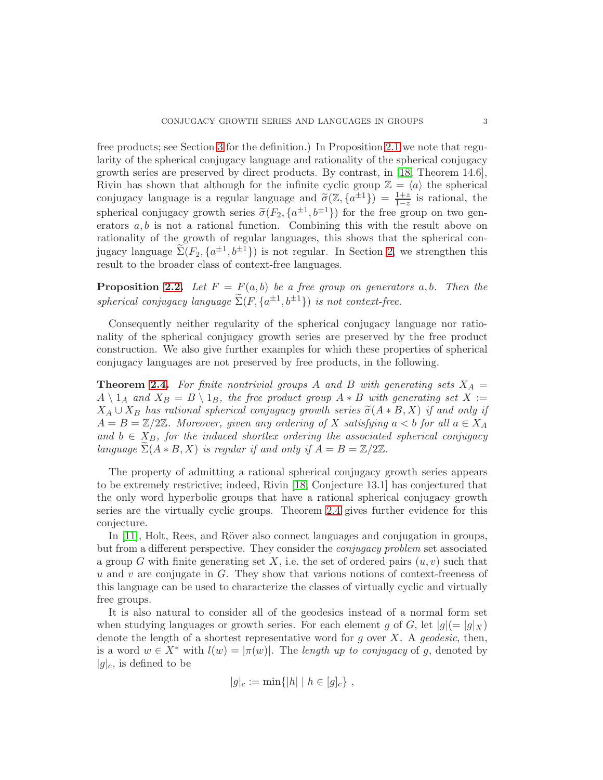free products; see Section [3](#page-9-0) for the definition.) In Proposition [2.1](#page-4-1) we note that regularity of the spherical conjugacy language and rationality of the spherical conjugacy growth series are preserved by direct products. By contrast, in [\[18,](#page-24-0) Theorem 14.6], Rivin has shown that although for the infinite cyclic group  $\mathbb{Z} = \langle a \rangle$  the spherical conjugacy language is a regular language and  $\tilde{\sigma}(\mathbb{Z}, {\{a^{\pm 1}\}}) = \frac{1+z}{1-z}$  is rational, the spherical conjugacy growth series  $\tilde{\sigma}(F_2, \{a^{\pm 1}, b^{\pm 1}\})$  for the free group on two generators  $a, b$  is not a rational function. Combining this with the result above on rationality of the growth of regular languages, this shows that the spherical conjugacy language  $\tilde{\Sigma}(F_2, \{a^{\pm 1}, b^{\pm 1}\})$  is not regular. In Section [2,](#page-4-0) we strengthen this result to the broader class of context-free languages.

**Proposition [2.2.](#page-5-0)** Let  $F = F(a, b)$  be a free group on generators a, b. Then the spherical conjugacy language  $\widetilde{\Sigma}(F, \{a^{\pm 1}, b^{\pm 1}\})$  is not context-free.

Consequently neither regularity of the spherical conjugacy language nor rationality of the spherical conjugacy growth series are preserved by the free product construction. We also give further examples for which these properties of spherical conjugacy languages are not preserved by free products, in the following.

**Theorem [2.4.](#page-6-0)** For finite nontrivial groups A and B with generating sets  $X_A =$  $A \setminus 1_A$  and  $X_B = B \setminus 1_B$ , the free product group  $A * B$  with generating set  $X :=$  $X_A \cup X_B$  has rational spherical conjugacy growth series  $\tilde{\sigma}(A * B, X)$  if and only if  $A = B = \mathbb{Z}/2\mathbb{Z}$ . Moreover, given any ordering of X satisfying  $a < b$  for all  $a \in X_A$ and  $b \in X_B$ , for the induced shortlex ordering the associated spherical conjugacy language  $\Sigma(A * B, X)$  is regular if and only if  $A = B = \mathbb{Z}/2\mathbb{Z}$ .

The property of admitting a rational spherical conjugacy growth series appears to be extremely restrictive; indeed, Rivin [\[18,](#page-24-0) Conjecture 13.1] has conjectured that the only word hyperbolic groups that have a rational spherical conjugacy growth series are the virtually cyclic groups. Theorem [2.4](#page-6-0) gives further evidence for this conjecture.

In [\[11\]](#page-24-2), Holt, Rees, and Röver also connect languages and conjugation in groups, but from a different perspective. They consider the conjugacy problem set associated a group G with finite generating set X, i.e. the set of ordered pairs  $(u, v)$  such that  $u$  and  $v$  are conjugate in  $G$ . They show that various notions of context-freeness of this language can be used to characterize the classes of virtually cyclic and virtually free groups.

It is also natural to consider all of the geodesics instead of a normal form set when studying languages or growth series. For each element g of G, let  $|g| = |g|$   $\chi$ ) denote the length of a shortest representative word for q over X. A geodesic, then, is a word  $w \in X^*$  with  $l(w) = |\pi(w)|$ . The length up to conjugacy of g, denoted by  $|g|_c$ , is defined to be

$$
|g|_c := \min\{|h| \mid h \in [g]_c\},\,
$$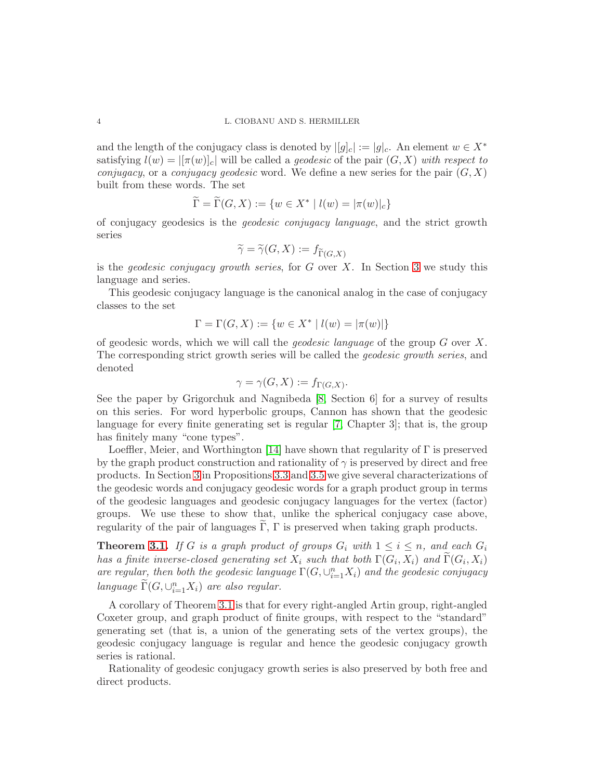and the length of the conjugacy class is denoted by  $||g|_c| := |g|_c$ . An element  $w \in X^*$ satisfying  $l(w) = |\pi(w)|_c|$  will be called a *geodesic* of the pair  $(G, X)$  with respect to conjugacy, or a conjugacy geodesic word. We define a new series for the pair  $(G, X)$ built from these words. The set

$$
\widetilde{\Gamma} = \widetilde{\Gamma}(G, X) := \{ w \in X^* \mid l(w) = |\pi(w)|_c \}
$$

of conjugacy geodesics is the geodesic conjugacy language, and the strict growth series

$$
\widetilde{\gamma} = \widetilde{\gamma}(G, X) := f_{\widetilde{\Gamma}(G, X)}
$$

is the *geodesic conjugacy growth series*, for  $G$  over  $X$ . In Section [3](#page-9-0) we study this language and series.

This geodesic conjugacy language is the canonical analog in the case of conjugacy classes to the set

$$
\Gamma = \Gamma(G, X) := \{ w \in X^* \mid l(w) = |\pi(w)| \}
$$

of geodesic words, which we will call the *geodesic language* of the group  $G$  over  $X$ . The corresponding strict growth series will be called the geodesic growth series, and denoted

$$
\gamma = \gamma(G, X) := f_{\Gamma(G, X)}.
$$

See the paper by Grigorchuk and Nagnibeda [\[8,](#page-23-7) Section 6] for a survey of results on this series. For word hyperbolic groups, Cannon has shown that the geodesic language for every finite generating set is regular [\[7,](#page-23-8) Chapter 3]; that is, the group has finitely many "cone types".

Loeffler, Meier, and Worthington [\[14\]](#page-24-3) have shown that regularity of  $\Gamma$  is preserved by the graph product construction and rationality of  $\gamma$  is preserved by direct and free products. In Section [3](#page-9-0) in Propositions [3.3](#page-12-0) and [3.5](#page-13-0) we give several characterizations of the geodesic words and conjugacy geodesic words for a graph product group in terms of the geodesic languages and geodesic conjugacy languages for the vertex (factor) groups. We use these to show that, unlike the spherical conjugacy case above, regularity of the pair of languages  $\Gamma$ ,  $\Gamma$  is preserved when taking graph products.

**Theorem [3.1.](#page-9-1)** If G is a graph product of groups  $G_i$  with  $1 \leq i \leq n$ , and each  $G_i$ has a finite inverse-closed generating set  $X_i$  such that both  $\Gamma(G_i,X_i)$  and  $\Gamma(G_i,X_i)$ are regular, then both the geodesic language  $\Gamma(G, \cup_{i=1}^{n} X_i)$  and the geodesic conjugacy language  $\widetilde{\Gamma}(G, \cup_{i=1}^{n} X_i)$  are also regular.

A corollary of Theorem [3.1](#page-9-1) is that for every right-angled Artin group, right-angled Coxeter group, and graph product of finite groups, with respect to the "standard" generating set (that is, a union of the generating sets of the vertex groups), the geodesic conjugacy language is regular and hence the geodesic conjugacy growth series is rational.

Rationality of geodesic conjugacy growth series is also preserved by both free and direct products.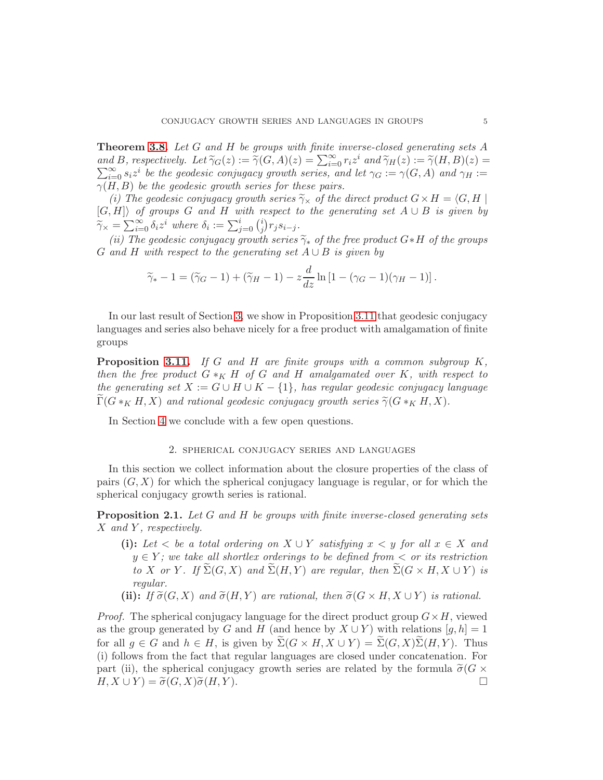Theorem [3.8.](#page-19-0) Let G and H be groups with finite inverse-closed generating sets A and B, respectively. Let  $\widetilde{\gamma}_G(z) := \widetilde{\gamma}(G,A)(z) = \sum_{i=0}^{\infty} r_i z^i$  and  $\widetilde{\gamma}_H(z) := \widetilde{\gamma}(H,B)(z) = \sum_{i=0}^{\infty} r_i z^i$  $\sum_{i=0}^{\infty} s_i z^i$  be the geodesic conjugacy growth series, and let  $\gamma_G := \gamma(G, A)$  and  $\gamma_H :=$  $\gamma(H, B)$  be the geodesic growth series for these pairs.

(i) The geodesic conjugacy growth series  $\widetilde{\gamma}_{\times}$  of the direct product  $G \times H = \langle G, H |$  $[G, H]\rangle$  of groups G and H with respect to the generating set  $A \cup B$  is given by  $\widetilde{\gamma}_{\times} = \sum_{i=0}^{\infty} \delta_i z^i$  where  $\delta_i := \sum_{j=0}^i {i \choose j}$  $j(r_j s_{i-j}).$ 

(ii) The geodesic conjugacy growth series  $\widetilde{\gamma}_*$  of the free product G∗H of the groups G and H with respect to the generating set  $A \cup B$  is given by

$$
\widetilde{\gamma}_* - 1 = (\widetilde{\gamma}_G - 1) + (\widetilde{\gamma}_H - 1) - z \frac{d}{dz} \ln \left[ 1 - (\gamma_G - 1)(\gamma_H - 1) \right].
$$

In our last result of Section [3,](#page-9-0) we show in Proposition [3.11](#page-21-0) that geodesic conjugacy languages and series also behave nicely for a free product with amalgamation of finite groups

**Proposition [3.11.](#page-21-0)** If G and H are finite groups with a common subgroup  $K$ , then the free product  $G \ast_K H$  of G and H amalgamated over K, with respect to the generating set  $X := G \cup H \cup K - \{1\}$ , has regular geodesic conjugacy language  $\widetilde{\Gamma}(G *_{K} H, X)$  and rational geodesic conjugacy growth series  $\widetilde{\gamma}(G *_{K} H, X)$ .

<span id="page-4-0"></span>In Section [4](#page-22-0) we conclude with a few open questions.

### 2. spherical conjugacy series and languages

In this section we collect information about the closure properties of the class of pairs  $(G, X)$  for which the spherical conjugacy language is regular, or for which the spherical conjugacy growth series is rational.

<span id="page-4-1"></span>**Proposition 2.1.** Let G and H be groups with finite inverse-closed generating sets  $X$  and  $Y$ , respectively.

- (i): Let  $\lt$  be a total ordering on  $X \cup Y$  satisfying  $x \lt y$  for all  $x \in X$  and  $y \in Y$ ; we take all shortlex orderings to be defined from  $\lt$  or its restriction to X or Y. If  $\widetilde{\Sigma}(G, X)$  and  $\widetilde{\Sigma}(H, Y)$  are regular, then  $\widetilde{\Sigma}(G \times H, X \cup Y)$  is regular.
- (ii): If  $\tilde{\sigma}(G, X)$  and  $\tilde{\sigma}(H, Y)$  are rational, then  $\tilde{\sigma}(G \times H, X \cup Y)$  is rational.

*Proof.* The spherical conjugacy language for the direct product group  $G \times H$ , viewed as the group generated by G and H (and hence by  $X \cup Y$ ) with relations  $[g, h] = 1$ for all  $g \in G$  and  $h \in H$ , is given by  $\widetilde{\Sigma}(G \times H, X \cup Y) = \widetilde{\Sigma}(G, X)\widetilde{\Sigma}(H, Y)$ . Thus (i) follows from the fact that regular languages are closed under concatenation. For part (ii), the spherical conjugacy growth series are related by the formula  $\tilde{\sigma}(G \times H, X \cup Y) = \tilde{\sigma}(G, X)\tilde{\sigma}(H, Y)$ .  $H, X \cup Y$  =  $\widetilde{\sigma}(G, X) \widetilde{\sigma}(H, Y)$ .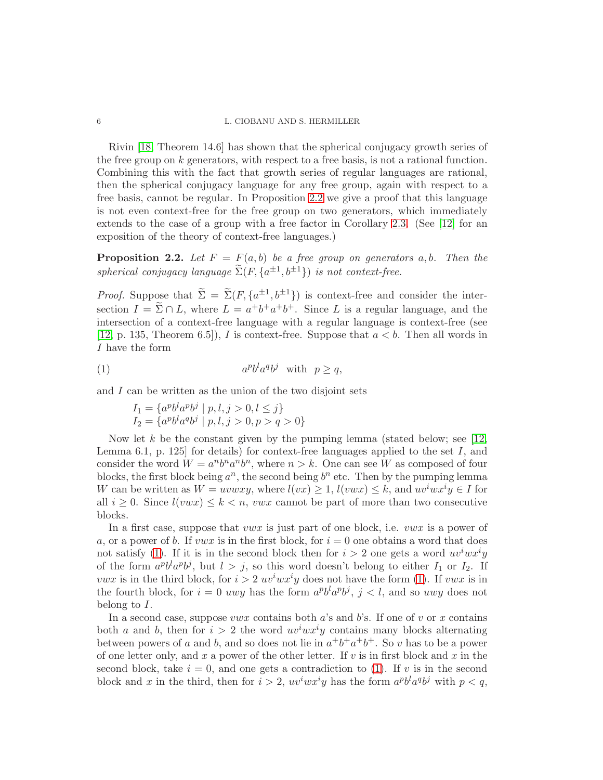Rivin [\[18,](#page-24-0) Theorem 14.6] has shown that the spherical conjugacy growth series of the free group on  $k$  generators, with respect to a free basis, is not a rational function. Combining this with the fact that growth series of regular languages are rational, then the spherical conjugacy language for any free group, again with respect to a free basis, cannot be regular. In Proposition [2.2](#page-5-0) we give a proof that this language is not even context-free for the free group on two generators, which immediately extends to the case of a group with a free factor in Corollary [2.3.](#page-6-1) (See [\[12\]](#page-24-4) for an exposition of the theory of context-free languages.)

<span id="page-5-0"></span>**Proposition 2.2.** Let  $F = F(a, b)$  be a free group on generators a, b. Then the spherical conjugacy language  $\widetilde{\Sigma}(F, \{a^{\pm 1}, b^{\pm 1}\})$  is not context-free.

*Proof.* Suppose that  $\tilde{\Sigma} = \tilde{\Sigma}(F, \{a^{\pm 1}, b^{\pm 1}\})$  is context-free and consider the intersection  $I = \tilde{\Sigma} \cap L$ , where  $L = a^+b^+a^+b^+$ . Since L is a regular language, and the intersection of a context-free language with a regular language is context-free (see [\[12,](#page-24-4) p. 135, Theorem 6.5]), I is context-free. Suppose that  $a < b$ . Then all words in I have the form

$$
(1) \t apblaqbj with p \ge q,
$$

and  $I$  can be written as the union of the two disjoint sets

<span id="page-5-1"></span>
$$
I_1 = \{a^p b^l a^p b^j \mid p, l, j > 0, l \le j\}
$$
  

$$
I_2 = \{a^p b^l a^q b^j \mid p, l, j > 0, p > q > 0\}
$$

Now let k be the constant given by the pumping lemma (stated below; see [\[12,](#page-24-4) Lemma 6.1, p. 125 for details) for context-free languages applied to the set  $I$ , and consider the word  $W = a^n b^n a^n b^n$ , where  $n > k$ . One can see W as composed of four blocks, the first block being  $a^n$ , the second being  $b^n$  etc. Then by the pumping lemma W can be written as  $W = uvwxy$ , where  $l(vx) \geq 1$ ,  $l(vwx) \leq k$ , and  $uv^iwx^iy \in I$  for all  $i \geq 0$ . Since  $l(vwx) \leq k < n$ , vwx cannot be part of more than two consecutive blocks.

In a first case, suppose that *vwx* is just part of one block, i.e. *vwx* is a power of a, or a power of b. If vwx is in the first block, for  $i = 0$  one obtains a word that does not satisfy [\(1\)](#page-5-1). If it is in the second block then for  $i > 2$  one gets a word  $uv^iwx^iy$ of the form  $a^p b^l a^p b^j$ , but  $l > j$ , so this word doesn't belong to either  $I_1$  or  $I_2$ . If *vwx* is in the third block, for  $i > 2$   $uv<sup>i</sup>wx<sup>i</sup>y$  does not have the form [\(1\)](#page-5-1). If *vwx* is in the fourth block, for  $i = 0$  uwy has the form  $a^p b^l a^p b^j$ ,  $j < l$ , and so uwy does not belong to I.

In a second case, suppose  $vwx$  contains both a's and b's. If one of v or x contains both a and b, then for  $i > 2$  the word  $uv^iwx^iy$  contains many blocks alternating between powers of a and b, and so does not lie in  $a^+b^+a^+b^+$ . So v has to be a power of one letter only, and x a power of the other letter. If v is in first block and x in the second block, take  $i = 0$ , and one gets a contradiction to [\(1\)](#page-5-1). If v is in the second block and x in the third, then for  $i > 2$ ,  $uv^iwx^iy$  has the form  $a^pb^l a^qb^j$  with  $p < q$ ,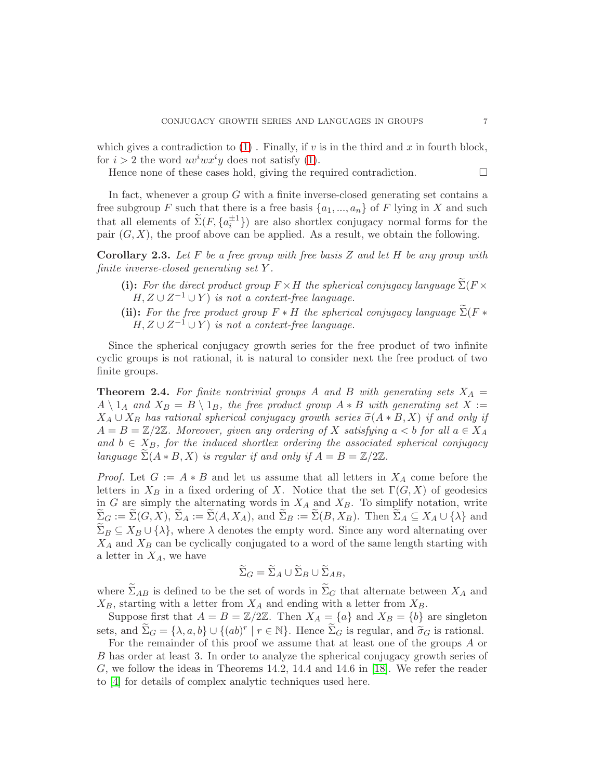which gives a contradiction to  $(1)$ . Finally, if v is in the third and x in fourth block, for  $i > 2$  the word  $uv^iwx^iy$  does not satisfy [\(1\)](#page-5-1).

Hence none of these cases hold, giving the required contradiction.

In fact, whenever a group G with a finite inverse-closed generating set contains a free subgroup F such that there is a free basis  $\{a_1, ..., a_n\}$  of F lying in X and such that all elements of  $\tilde{\Sigma}(F, \{a_i^{\pm 1}\})$  are also shortlex conjugacy normal forms for the pair  $(G, X)$ , the proof above can be applied. As a result, we obtain the following.

<span id="page-6-1"></span>**Corollary 2.3.** Let F be a free group with free basis Z and let H be any group with finite inverse-closed generating set Y .

- (i): For the direct product group  $F \times H$  the spherical conjugacy language  $\widetilde{\Sigma}(F \times$  $H, Z \cup Z^{-1} \cup Y$  is not a context-free language.
- (ii): For the free product group  $F * H$  the spherical conjugacy language  $\widetilde{\Sigma}(F *$  $H, Z \cup Z^{-1} \cup Y$  is not a context-free language.

Since the spherical conjugacy growth series for the free product of two infinite cyclic groups is not rational, it is natural to consider next the free product of two finite groups.

<span id="page-6-0"></span>**Theorem 2.4.** For finite nontrivial groups A and B with generating sets  $X_A =$  $A \setminus 1_A$  and  $X_B = B \setminus 1_B$ , the free product group  $A * B$  with generating set X :=  $X_A \cup X_B$  has rational spherical conjugacy growth series  $\tilde{\sigma}(A * B, X)$  if and only if  $A = B = \mathbb{Z}/2\mathbb{Z}$ . Moreover, given any ordering of X satisfying  $a < b$  for all  $a \in X_A$ and  $b \in X_B$ , for the induced shortlex ordering the associated spherical conjugacy language  $\widetilde{\Sigma}(A * B, X)$  is regular if and only if  $A = B = \mathbb{Z}/2\mathbb{Z}$ .

*Proof.* Let  $G := A * B$  and let us assume that all letters in  $X_A$  come before the letters in  $X_B$  in a fixed ordering of X. Notice that the set  $\Gamma(G, X)$  of geodesics in G are simply the alternating words in  $X_A$  and  $X_B$ . To simplify notation, write  $\Sigma_G := \Sigma(G, X), \Sigma_A := \Sigma(A, X_A),$  and  $\Sigma_B := \Sigma(B, X_B)$ . Then  $\Sigma_A \subseteq X_A \cup \{\lambda\}$  and  $\Sigma_B \subseteq X_B \cup \{\lambda\}$ , where  $\lambda$  denotes the empty word. Since any word alternating over  $X_A$  and  $X_B$  can be cyclically conjugated to a word of the same length starting with a letter in  $X_A$ , we have

$$
\widetilde{\Sigma}_G = \widetilde{\Sigma}_A \cup \widetilde{\Sigma}_B \cup \widetilde{\Sigma}_{AB},
$$

where  $\widetilde{\Sigma}_{AB}$  is defined to be the set of words in  $\widetilde{\Sigma}_{G}$  that alternate between  $X_{A}$  and  $X_B$ , starting with a letter from  $X_A$  and ending with a letter from  $X_B$ .

Suppose first that  $A = B = \mathbb{Z}/2\mathbb{Z}$ . Then  $X_A = \{a\}$  and  $X_B = \{b\}$  are singleton sets, and  $\widetilde{\Sigma}_G = \{\lambda, a, b\} \cup \{(ab)^r | r \in \mathbb{N}\}\$ . Hence  $\widetilde{\Sigma}_G$  is regular, and  $\widetilde{\sigma}_G$  is rational.

For the remainder of this proof we assume that at least one of the groups A or B has order at least 3. In order to analyze the spherical conjugacy growth series of G, we follow the ideas in Theorems 14.2, 14.4 and 14.6 in [\[18\]](#page-24-0). We refer the reader to [\[4\]](#page-23-9) for details of complex analytic techniques used here.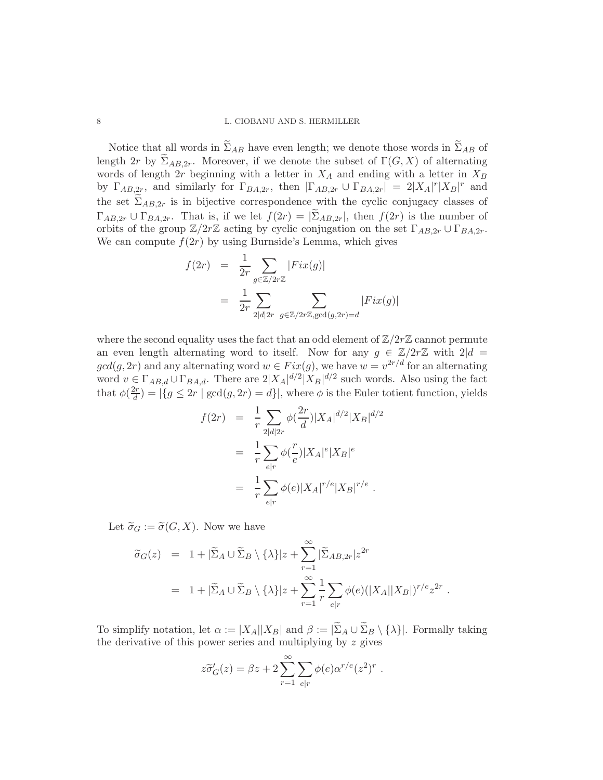#### 8 L. CIOBANU AND S. HERMILLER

Notice that all words in  $\widetilde{\Sigma}_{AB}$  have even length; we denote those words in  $\widetilde{\Sigma}_{AB}$  of length 2r by  $\widetilde{\Sigma}_{AB,2r}$ . Moreover, if we denote the subset of  $\Gamma(G, X)$  of alternating words of length  $2r$  beginning with a letter in  $X_A$  and ending with a letter in  $X_B$ by  $\Gamma_{AB,2r}$ , and similarly for  $\Gamma_{BA,2r}$ , then  $|\Gamma_{AB,2r} \cup \Gamma_{BA,2r}| = 2|X_A|^r |X_B|^r$  and the set  $\widetilde{\Sigma}_{AB,2r}$  is in bijective correspondence with the cyclic conjugacy classes of  $\Gamma_{AB,2r} \cup \Gamma_{BA,2r}$ . That is, if we let  $f(2r) = |\Sigma_{AB,2r}|$ , then  $f(2r)$  is the number of orbits of the group  $\mathbb{Z}/2r\mathbb{Z}$  acting by cyclic conjugation on the set  $\Gamma_{AB,2r} \cup \Gamma_{BA,2r}$ . We can compute  $f(2r)$  by using Burnside's Lemma, which gives

$$
f(2r) = \frac{1}{2r} \sum_{g \in \mathbb{Z}/2r\mathbb{Z}} |Fix(g)|
$$
  
= 
$$
\frac{1}{2r} \sum_{2|d|2r} \sum_{g \in \mathbb{Z}/2r\mathbb{Z}, \gcd(g,2r) = d} |Fix(g)|
$$

where the second equality uses the fact that an odd element of  $\mathbb{Z}/2r\mathbb{Z}$  cannot permute an even length alternating word to itself. Now for any  $g \in \mathbb{Z}/2r\mathbb{Z}$  with  $2|d =$  $gcd(g, 2r)$  and any alternating word  $w \in Fix(g)$ , we have  $w = v^{2r/d}$  for an alternating word  $v \in \Gamma_{AB,d} \cup \Gamma_{BA,d}$ . There are  $2|X_A|^{d/2}|X_B|^{d/2}$  such words. Also using the fact that  $\phi(\frac{2r}{d})$  $\frac{d}{d}f(x) = |\{g \leq 2r \mid \gcd(g, 2r) = d\}|$ , where  $\phi$  is the Euler totient function, yields

$$
f(2r) = \frac{1}{r} \sum_{2|d|2r} \phi(\frac{2r}{d}) |X_A|^{d/2} |X_B|^{d/2}
$$
  
= 
$$
\frac{1}{r} \sum_{e|r} \phi(\frac{r}{e}) |X_A|^e |X_B|^e
$$
  
= 
$$
\frac{1}{r} \sum_{e|r} \phi(e) |X_A|^r|^e |X_B|^{r/e}.
$$

Let  $\widetilde{\sigma}_G := \widetilde{\sigma}(G, X)$ . Now we have

$$
\widetilde{\sigma}_G(z) = 1 + |\widetilde{\Sigma}_A \cup \widetilde{\Sigma}_B \setminus \{\lambda\}|z + \sum_{r=1}^{\infty} |\widetilde{\Sigma}_{AB,2r}| z^{2r}
$$
  
= 1 + |\widetilde{\Sigma}\_A \cup \widetilde{\Sigma}\_B \setminus \{\lambda\}|z + \sum\_{r=1}^{\infty} \frac{1}{r} \sum\_{e|r} \phi(e)(|X\_A||X\_B|)^{r/e} z^{2r}.

To simplify notation, let  $\alpha := |X_A||X_B|$  and  $\beta := |\widetilde{\Sigma}_A \cup \widetilde{\Sigma}_B \setminus {\{\lambda\}}|$ . Formally taking the derivative of this power series and multiplying by z gives

$$
z\widetilde{\sigma}'_G(z) = \beta z + 2 \sum_{r=1}^{\infty} \sum_{e|r} \phi(e) \alpha^{r/e}(z^2)^r.
$$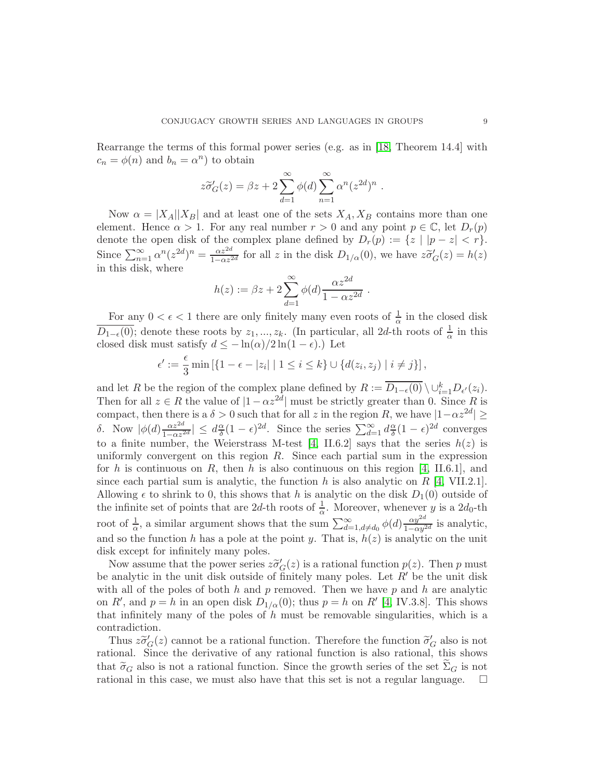Rearrange the terms of this formal power series (e.g. as in [\[18,](#page-24-0) Theorem 14.4] with  $c_n = \phi(n)$  and  $b_n = \alpha^n$ ) to obtain

$$
z\widetilde{\sigma}'_G(z) = \beta z + 2\sum_{d=1}^{\infty} \phi(d) \sum_{n=1}^{\infty} \alpha^n (z^{2d})^n.
$$

Now  $\alpha = |X_A||X_B|$  and at least one of the sets  $X_A, X_B$  contains more than one element. Hence  $\alpha > 1$ . For any real number  $r > 0$  and any point  $p \in \mathbb{C}$ , let  $D_r(p)$ denote the open disk of the complex plane defined by  $D_r(p) := \{z \mid |p - z| < r\}.$ Since  $\sum_{n=1}^{\infty} \alpha^n (z^{2d})^n = \frac{\alpha z^{2d}}{1 - \alpha z^2}$  $\frac{\alpha z^{2d}}{1-\alpha z^{2d}}$  for all z in the disk  $D_{1/\alpha}(0)$ , we have  $z\tilde{\sigma}'_G(z) = h(z)$ in this disk, where

$$
h(z) := \beta z + 2 \sum_{d=1}^{\infty} \phi(d) \frac{\alpha z^{2d}}{1 - \alpha z^{2d}}.
$$

For any  $0 < \epsilon < 1$  there are only finitely many even roots of  $\frac{1}{\alpha}$  in the closed disk  $\overline{D_{1-\epsilon}(0)}$ ; denote these roots by  $z_1, ..., z_k$ . (In particular, all 2d-th roots of  $\frac{1}{\alpha}$  in this closed disk must satisfy  $d \leq -\ln(\alpha)/2\ln(1-\epsilon)$ .) Let

$$
\epsilon' := \frac{\epsilon}{3} \min \left[ \{ 1 - \epsilon - |z_i| \mid 1 \le i \le k \} \cup \{ d(z_i, z_j) \mid i \ne j \} \right],
$$

and let R be the region of the complex plane defined by  $R := \overline{D_{1-\epsilon}(0)} \setminus \cup_{i=1}^k D_{\epsilon'}(z_i)$ . Then for all  $z \in R$  the value of  $|1 - \alpha z^{2d}|$  must be strictly greater than 0. Since R is compact, then there is a  $\delta > 0$  such that for all z in the region R, we have  $|1-\alpha z^{2d}| \geq$ δ. Now  $\phi(d) \frac{\alpha z^{2d}}{1-\alpha z^2}$  $\frac{\alpha z^{2d}}{1-\alpha z^{2d}}\vert \leq d\frac{\alpha}{\delta}$  $\frac{\alpha}{\delta}(1-\epsilon)^{2d}$ . Since the series  $\sum_{d=1}^{\infty} d_{\delta}^{\alpha}$  $\frac{\alpha}{\delta}(1-\epsilon)^{2d}$  converges to a finite number, the Weierstrass M-test [\[4,](#page-23-9) II.6.2] says that the series  $h(z)$  is uniformly convergent on this region R. Since each partial sum in the expression for h is continuous on R, then h is also continuous on this region [\[4,](#page-23-9) II.6.1], and since each partial sum is analytic, the function h is also analytic on  $R$  [\[4,](#page-23-9) VII.2.1]. Allowing  $\epsilon$  to shrink to 0, this shows that h is analytic on the disk  $D_1(0)$  outside of the infinite set of points that are 2d-th roots of  $\frac{1}{\alpha}$ . Moreover, whenever y is a 2d<sub>0</sub>-th root of  $\frac{1}{\alpha}$ , a similar argument shows that the sum  $\sum_{d=1, d\neq d_0}^{\infty} \phi(d) \frac{\alpha y^{2d}}{1-\alpha y^2}$  $\frac{\alpha y}{1-\alpha y^{2d}}$  is analytic, and so the function h has a pole at the point y. That is,  $h(z)$  is analytic on the unit disk except for infinitely many poles.

Now assume that the power series  $z\tilde{\sigma}'_G(z)$  is a rational function  $p(z)$ . Then p must be analytic in the unit disk outside of finitely many poles. Let  $R'$  be the unit disk with all of the poles of both h and p removed. Then we have p and h are analytic on R', and  $p = h$  in an open disk  $D_{1/\alpha}(0)$ ; thus  $p = h$  on R' [\[4,](#page-23-9) IV.3.8]. This shows that infinitely many of the poles of  $h$  must be removable singularities, which is a contradiction.

Thus  $z\tilde{\sigma}'_G(z)$  cannot be a rational function. Therefore the function  $\tilde{\sigma}'_G$  also is not rational. Since the derivative of any rational function is also rational, this shows that  $\tilde{\sigma}_G$  also is not a rational function. Since the growth series of the set  $\Sigma_G$  is not rational in this case, we must also have that this set is not a regular language. rational in this case, we must also have that this set is not a regular language.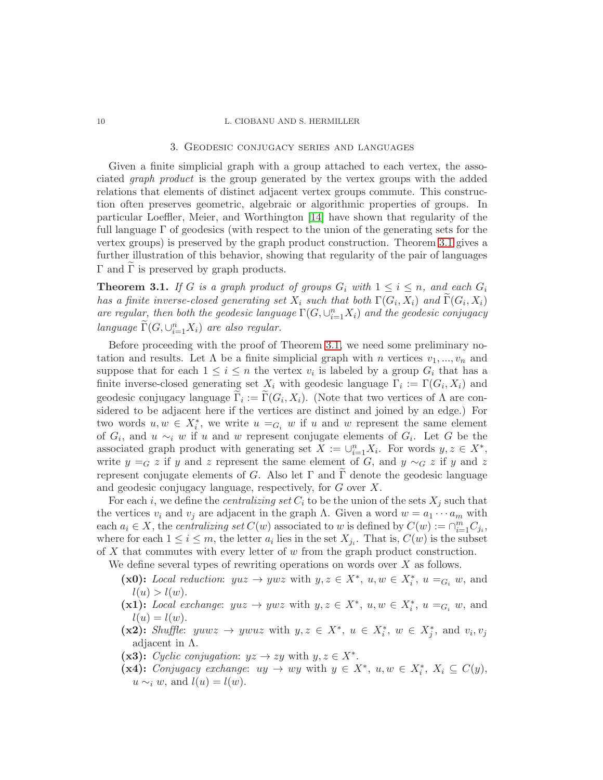#### <span id="page-9-0"></span>10 L. CIOBANU AND S. HERMILLER

#### 3. Geodesic conjugacy series and languages

Given a finite simplicial graph with a group attached to each vertex, the associated graph product is the group generated by the vertex groups with the added relations that elements of distinct adjacent vertex groups commute. This construction often preserves geometric, algebraic or algorithmic properties of groups. In particular Loeffler, Meier, and Worthington [\[14\]](#page-24-3) have shown that regularity of the full language Γ of geodesics (with respect to the union of the generating sets for the vertex groups) is preserved by the graph product construction. Theorem [3.1](#page-9-1) gives a further illustration of this behavior, showing that regularity of the pair of languages  $Γ$  and  $Γ$  is preserved by graph products.

<span id="page-9-1"></span>**Theorem 3.1.** If G is a graph product of groups  $G_i$  with  $1 \leq i \leq n$ , and each  $G_i$ has a finite inverse-closed generating set  $X_i$  such that both  $\Gamma(G_i,X_i)$  and  $\Gamma(G_i,X_i)$ are regular, then both the geodesic language  $\Gamma(G, \cup_{i=1}^{n} X_i)$  and the geodesic conjugacy language  $\widetilde{\Gamma}(G, \cup_{i=1}^{n} X_i)$  are also regular.

Before proceeding with the proof of Theorem [3.1,](#page-9-1) we need some preliminary notation and results. Let  $\Lambda$  be a finite simplicial graph with n vertices  $v_1, ..., v_n$  and suppose that for each  $1 \leq i \leq n$  the vertex  $v_i$  is labeled by a group  $G_i$  that has a finite inverse-closed generating set  $X_i$  with geodesic language  $\Gamma_i := \Gamma(G_i, X_i)$  and geodesic conjugacy language  $\Gamma_i := \Gamma(G_i, X_i)$ . (Note that two vertices of  $\Lambda$  are considered to be adjacent here if the vertices are distinct and joined by an edge.) For two words  $u, w \in X_i^*$ , we write  $u =_{G_i} w$  if u and w represent the same element of  $G_i$ , and  $u \sim_i w$  if u and w represent conjugate elements of  $G_i$ . Let G be the associated graph product with generating set  $X := \bigcup_{i=1}^n X_i$ . For words  $y, z \in X^*$ , write  $y = G z$  if y and z represent the same element of G, and y  $\sim_G z$  if y and z represent conjugate elements of G. Also let  $\Gamma$  and  $\Gamma$  denote the geodesic language and geodesic conjugacy language, respectively, for G over X.

For each i, we define the *centralizing set*  $C_i$  to be the union of the sets  $X_j$  such that the vertices  $v_i$  and  $v_j$  are adjacent in the graph  $\Lambda$ . Given a word  $w = a_1 \cdots a_m$  with each  $a_i \in X$ , the *centralizing set*  $C(w)$  associated to w is defined by  $C(w) := \bigcap_{i=1}^{m} C_{j_i}$ , where for each  $1 \leq i \leq m$ , the letter  $a_i$  lies in the set  $X_{j_i}$ . That is,  $C(w)$  is the subset of  $X$  that commutes with every letter of  $w$  from the graph product construction.

We define several types of rewriting operations on words over X as follows.

- (x0): Local reduction:  $yuz \to ywz$  with  $y, z \in X^*$ ,  $u, w \in X_i^*$ ,  $u =_{G_i} w$ , and  $l(u) > l(w)$ .
- (x1): Local exchange:  $yuz \to ywz$  with  $y, z \in X^*$ ,  $u, w \in X_i^*$ ,  $u =_{G_i} w$ , and  $l(u) = l(w).$
- (x2): Shuffle:  $yuwz \rightarrow ywuz$  with  $y, z \in X^*, u \in X_i^*, w \in X_j^*$ , and  $v_i, v_j$ adjacent in  $\Lambda$ .
- (x3): Cyclic conjugation:  $yz \rightarrow zy$  with  $y, z \in X^*$ .
- (x4): Conjugacy exchange:  $uy \to wy$  with  $y \in X^*$ ,  $u, w \in X_i^*$ ,  $X_i \subseteq C(y)$ ,  $u \sim_i w$ , and  $l(u) = l(w)$ .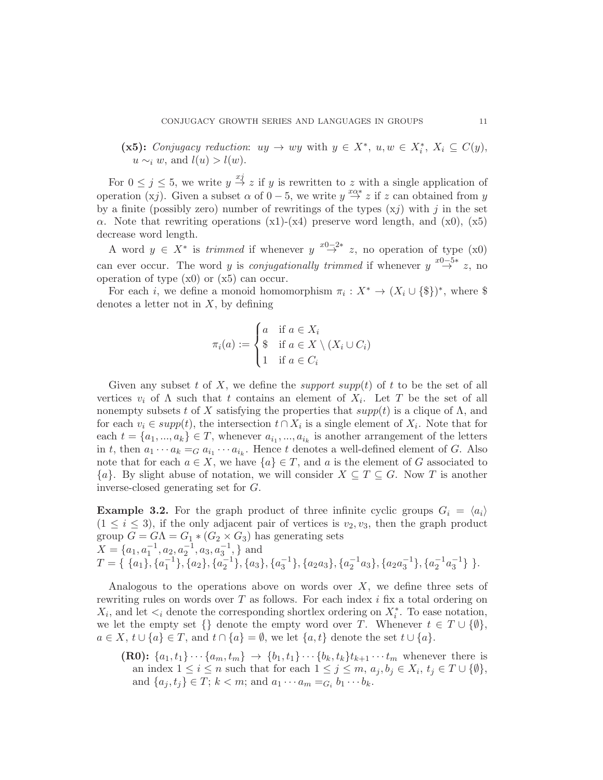(x5): Conjugacy reduction:  $uy \to wy$  with  $y \in X^*$ ,  $u, w \in X_i^*$ ,  $X_i \subseteq C(y)$ ,  $u \sim_i w$ , and  $l(u) > l(w)$ .

For  $0 \leq j \leq 5$ , we write  $y \stackrel{xj}{\rightarrow} z$  if y is rewritten to z with a single application of operation (xj). Given a subset  $\alpha$  of  $0-5$ , we write  $y \stackrel{x\alpha*}{\rightarrow} z$  if z can obtained from y by a finite (possibly zero) number of rewritings of the types  $(xj)$  with j in the set  $\alpha$ . Note that rewriting operations (x1)-(x4) preserve word length, and (x0), (x5) decrease word length.

A word  $y \in X^*$  is trimmed if whenever  $y \stackrel{x_0-2*}{\rightarrow} z$ , no operation of type (x0) can ever occur. The word y is *conjugationally trimmed* if whenever  $y \stackrel{x0-5*}{\rightarrow} z$ , no operation of type  $(x0)$  or  $(x5)$  can occur.

For each *i*, we define a monoid homomorphism  $\pi_i : X^* \to (X_i \cup \{\$\})^*$ , where \$ denotes a letter not in  $X$ , by defining

$$
\pi_i(a) := \begin{cases} a & \text{if } a \in X_i \\ \$ & \text{if } a \in X \setminus (X_i \cup C_i) \\ 1 & \text{if } a \in C_i \end{cases}
$$

Given any subset t of X, we define the *support* supp(t) of t to be the set of all vertices  $v_i$  of  $\Lambda$  such that t contains an element of  $X_i$ . Let T be the set of all nonempty subsets t of X satisfying the properties that  $supp(t)$  is a clique of  $\Lambda$ , and for each  $v_i \in supp(t)$ , the intersection  $t \cap X_i$  is a single element of  $X_i$ . Note that for each  $t = \{a_1, ..., a_k\} \in T$ , whenever  $a_{i_1}, ..., a_{i_k}$  is another arrangement of the letters in t, then  $a_1 \cdots a_k =_G a_{i_1} \cdots a_{i_k}$ . Hence t denotes a well-defined element of G. Also note that for each  $a \in X$ , we have  $\{a\} \in T$ , and a is the element of G associated to  ${a}$ . By slight abuse of notation, we will consider  $X \subseteq T \subseteq G$ . Now T is another inverse-closed generating set for G.

**Example 3.2.** For the graph product of three infinite cyclic groups  $G_i = \langle a_i \rangle$  $(1 \leq i \leq 3)$ , if the only adjacent pair of vertices is  $v_2, v_3$ , then the graph product group  $G = G\Lambda = G_1 * (G_2 \times G_3)$  has generating sets  $X = \{a_1, a_1^{-1}, a_2, a_2^{-1}, a_3, a_3^{-1}, \}$  and  $T = \{ \{a_1\}, \{a_1^{-1}\}, \{a_2\}, \{a_2^{-1}\}, \{a_3\}, \{a_3^{-1}\}, \{a_2a_3\}, \{a_2^{-1}a_3\}, \{a_2a_3^{-1}\}, \{a_2^{-1}a_3^{-1}\} \}.$ 

Analogous to the operations above on words over  $X$ , we define three sets of rewriting rules on words over  $T$  as follows. For each index  $i$  fix a total ordering on  $X_i$ , and let  $\lt_i$  denote the corresponding shortlex ordering on  $X_i^*$ . To ease notation, we let the empty set  $\{\}\$  denote the empty word over T. Whenever  $t \in T \cup \{\emptyset\},\$  $a \in X$ ,  $t \cup \{a\} \in T$ , and  $t \cap \{a\} = \emptyset$ , we let  $\{a, t\}$  denote the set  $t \cup \{a\}$ .

(R0):  ${a_1, t_1} \cdots {a_m, t_m} \rightarrow {b_1, t_1} \cdots {b_k, t_k} t_{k+1} \cdots t_m$  whenever there is an index  $1 \leq i \leq n$  such that for each  $1 \leq j \leq m$ ,  $a_j, b_j \in X_i$ ,  $t_j \in T \cup \{\emptyset\}$ , and  $\{a_j, t_j\} \in T; k < m;$  and  $a_1 \cdots a_m =_{G_i} b_1 \cdots b_k$ .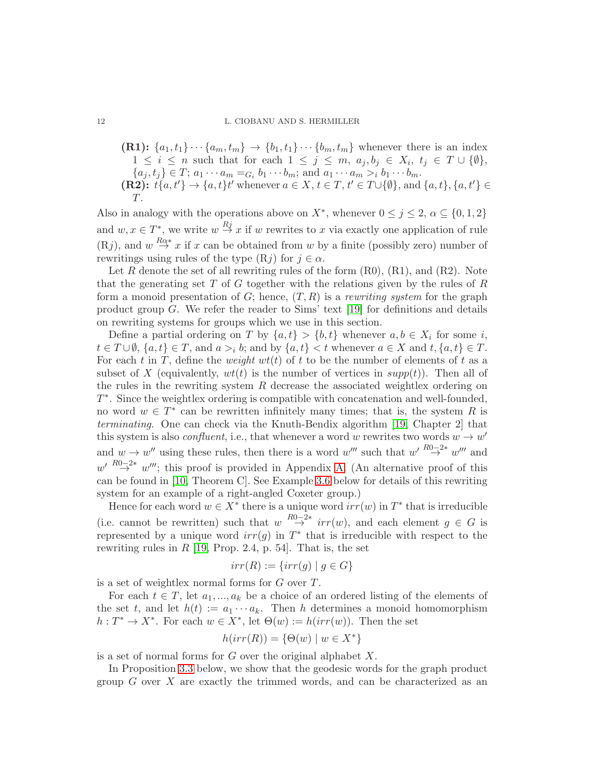#### 12 L. CIOBANU AND S. HERMILLER

(R1): 
$$
\{a_1, t_1\} \cdots \{a_m, t_m\} \rightarrow \{b_1, t_1\} \cdots \{b_m, t_m\}
$$
 whenever there is an index  $1 \leq i \leq n$  such that for each  $1 \leq j \leq m$ ,  $a_j, b_j \in X_i$ ,  $t_j \in T \cup \{\emptyset\}$ ,  $\{a_j, t_j\} \in T$ ;  $a_1 \cdots a_m =_{G_i} b_1 \cdots b_m$ ; and  $a_1 \cdots a_m >_{i} b_1 \cdots b_m$ . **(R2):**  $t\{a, t'\} \rightarrow \{a, t\} t'$  whenever  $a \in X$ ,  $t \in T$ ,  $t' \in T \cup \{\emptyset\}$ , and  $\{a, t\}$ ,  $\{a, t'\} \in T$ .

Also in analogy with the operations above on  $X^*$ , whenever  $0 \leq j \leq 2$ ,  $\alpha \subseteq \{0,1,2\}$ and  $w, x \in T^*$ , we write  $w \stackrel{Rj}{\rightarrow} x$  if w rewrites to x via exactly one application of rule  $(Rj)$ , and  $w \stackrel{R\alpha*}{\rightarrow} x$  if x can be obtained from w by a finite (possibly zero) number of rewritings using rules of the type  $(Rj)$  for  $j \in \alpha$ .

Let R denote the set of all rewriting rules of the form  $(R0)$ ,  $(R1)$ , and  $(R2)$ . Note that the generating set T of G together with the relations given by the rules of  $R$ form a monoid presentation of  $G$ ; hence,  $(T, R)$  is a rewriting system for the graph product group  $G$ . We refer the reader to Sims' text [\[19\]](#page-24-5) for definitions and details on rewriting systems for groups which we use in this section.

Define a partial ordering on T by  $\{a, t\} > \{b, t\}$  whenever  $a, b \in X_i$  for some i,  $t \in T \cup \emptyset$ ,  $\{a, t\} \in T$ , and  $a >i b$ ; and by  $\{a, t\} < t$  whenever  $a \in X$  and  $t, \{a, t\} \in T$ . For each t in T, define the *weight*  $wt(t)$  of t to be the number of elements of t as a subset of X (equivalently,  $wt(t)$  is the number of vertices in  $supp(t)$ ). Then all of the rules in the rewriting system R decrease the associated weightlex ordering on T ∗ . Since the weightlex ordering is compatible with concatenation and well-founded, no word  $w \in T^*$  can be rewritten infinitely many times; that is, the system R is terminating. One can check via the Knuth-Bendix algorithm [\[19,](#page-24-5) Chapter 2] that this system is also *confluent*, i.e., that whenever a word w rewrites two words  $w \to w'$ and  $w \to w''$  using these rules, then there is a word  $w'''$  such that  $w' \stackrel{R0-2*}{\to} w'''$  and  $w' \stackrel{R0-2*}{\rightarrow} w''$ ; this proof is provided in Appendix [A.](#page-25-0) (An alternative proof of this can be found in [\[10,](#page-23-6) Theorem C]. See Example [3.6](#page-17-0) below for details of this rewriting system for an example of a right-angled Coxeter group.)

Hence for each word  $w \in X^*$  there is a unique word  $irr(w)$  in  $T^*$  that is irreducible (i.e. cannot be rewritten) such that  $w \stackrel{R0-2*}{\rightarrow} irr(w)$ , and each element  $g \in G$  is represented by a unique word  $irr(g)$  in  $T^*$  that is irreducible with respect to the rewriting rules in  $R$  [\[19,](#page-24-5) Prop. 2.4, p. 54]. That is, the set

$$
irr(R) := \{irr(g) \mid g \in G\}
$$

is a set of weightlex normal forms for  $G$  over  $T$ .

For each  $t \in T$ , let  $a_1, ..., a_k$  be a choice of an ordered listing of the elements of the set t, and let  $h(t) := a_1 \cdots a_k$ . Then h determines a monoid homomorphism  $h: T^* \to X^*$ . For each  $w \in X^*$ , let  $\Theta(w) := h(irr(w))$ . Then the set

$$
h(irr(R)) = \{ \Theta(w) \mid w \in X^* \}
$$

is a set of normal forms for  $G$  over the original alphabet  $X$ .

In Proposition [3.3](#page-12-0) below, we show that the geodesic words for the graph product group  $G$  over  $X$  are exactly the trimmed words, and can be characterized as an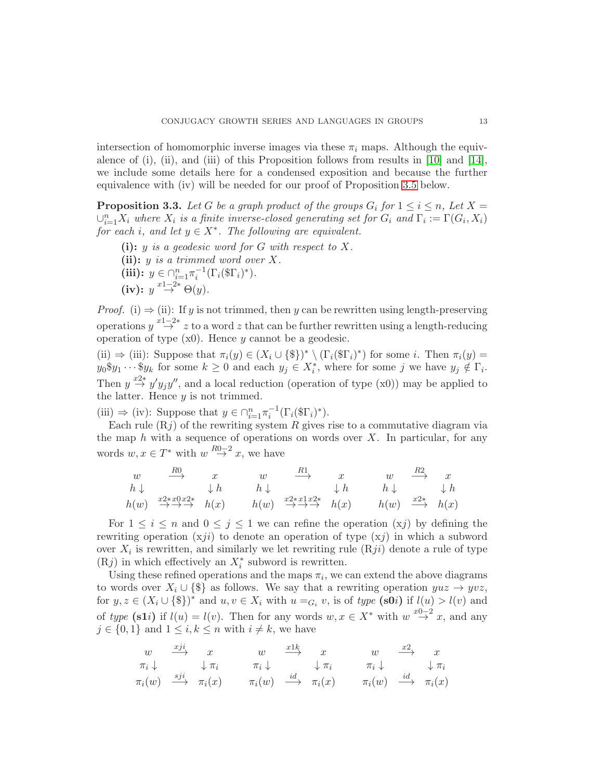intersection of homomorphic inverse images via these  $\pi_i$  maps. Although the equivalence of (i), (ii), and (iii) of this Proposition follows from results in [\[10\]](#page-23-6) and [\[14\]](#page-24-3), we include some details here for a condensed exposition and because the further equivalence with (iv) will be needed for our proof of Proposition [3.5](#page-13-0) below.

<span id="page-12-0"></span>**Proposition 3.3.** Let G be a graph product of the groups  $G_i$  for  $1 \le i \le n$ , Let  $X =$  $\cup_{i=1}^n X_i$  where  $X_i$  is a finite inverse-closed generating set for  $G_i$  and  $\Gamma_i := \Gamma(G_i, X_i)$ for each i, and let  $y \in X^*$ . The following are equivalent.

(i):  $y$  is a geodesic word for G with respect to X. (ii):  $y$  is a trimmed word over  $X$ . (iii):  $y \in \bigcap_{i=1}^{n} \pi_i^{-1} (\Gamma_i(\$\Gamma_i)^*).$ (iv):  $y \stackrel{x_1-2*}{\rightarrow} \Theta(y)$ .

*Proof.* (i)  $\Rightarrow$  (ii): If y is not trimmed, then y can be rewritten using length-preserving operations  $y \stackrel{x-2*}{\rightarrow} z$  to a word  $z$  that can be further rewritten using a length-reducing operation of type  $(x0)$ . Hence y cannot be a geodesic.

(ii)  $\Rightarrow$  (iii): Suppose that  $\pi_i(y) \in (X_i \cup \{\$\})^* \setminus (\Gamma_i(\mathcal{T}_i)^*)$  for some *i*. Then  $\pi_i(y) =$  $y_0 \$y_1 \cdots \$y_k$  for some  $k \geq 0$  and each  $y_j \in X_i^*$ , where for some j we have  $y_j \notin \Gamma_i$ . Then  $y \stackrel{x2*}{\rightarrow} y' y_j y''$ , and a local reduction (operation of type (x0)) may be applied to the latter. Hence  $y$  is not trimmed.

(iii)  $\Rightarrow$  (iv): Suppose that  $y \in \bigcap_{i=1}^n \pi_i^{-1}(\Gamma_i(\mathbb{S}\Gamma_i)^*)$ .

Each rule  $(Rj)$  of the rewriting system R gives rise to a commutative diagram via the map  $h$  with a sequence of operations on words over  $X$ . In particular, for any words  $w, x \in T^*$  with  $w \stackrel{R0-2}{\rightarrow} x$ , we have

$$
\begin{array}{ccccccc}\nw & \xrightarrow{R0} & x & w & \xrightarrow{R1} & x & w & \xrightarrow{R2} & x \\
h \downarrow & & \downarrow h & & h \downarrow & & \downarrow h & & h \downarrow & & \downarrow h \\
h(w) & \xrightarrow{x2*x0x2*} & h(x) & & h(w) & \xrightarrow{x2*x1x2*} & h(x) & & h(w) & \xrightarrow{x2*} & h(x)\n\end{array}
$$

For  $1 \leq i \leq n$  and  $0 \leq j \leq 1$  we can refine the operation  $(xj)$  by defining the rewriting operation  $(xji)$  to denote an operation of type  $(xj)$  in which a subword over  $X_i$  is rewritten, and similarly we let rewriting rule  $(Rji)$  denote a rule of type (Rj) in which effectively an  $X_i^*$  subword is rewritten.

Using these refined operations and the maps  $\pi_i$ , we can extend the above diagrams to words over  $X_i \cup \{\$\}$  as follows. We say that a rewriting operation  $yuz \to yuz$ , for  $y, z \in (X_i \cup \{\$\})^*$  and  $u, v \in X_i$  with  $u =_{G_i} v$ , is of type  $(\textbf{s0i})$  if  $l(u) > l(v)$  and of type (s1i) if  $l(u) = l(v)$ . Then for any words  $w, x \in X^*$  with  $w \stackrel{x_0-2}{\rightarrow} x$ , and any  $j \in \{0, 1\}$  and  $1 \leq i, k \leq n$  with  $i \neq k$ , we have

$$
\begin{array}{ccccccccc}\nw & \xrightarrow{xji} & x & w & \xrightarrow{x1k} & x & w & \xrightarrow{x2} & x \\
\pi_i \downarrow & & \downarrow \pi_i & & \pi_i \downarrow & & \downarrow \pi_i & & \pi_i \downarrow & & \downarrow \pi_i \\
\pi_i(w) & \xrightarrow{sji} & \pi_i(x) & & \pi_i(w) & \xrightarrow{id} & \pi_i(x) & & \pi_i(w) & \xrightarrow{id} & \pi_i(x)\n\end{array}
$$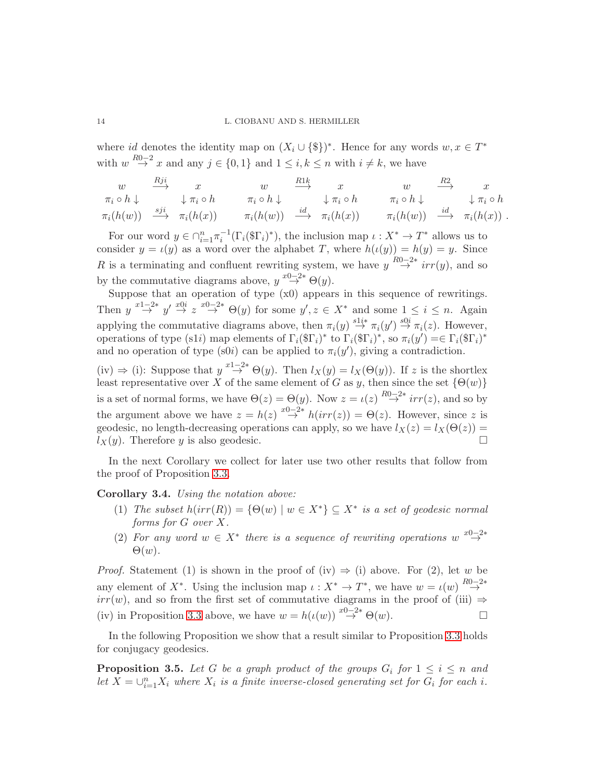where id denotes the identity map on  $(X_i \cup \{\$\})^*$ . Hence for any words  $w, x \in T^*$ with  $w \stackrel{R0-2}{\rightarrow} x$  and any  $j \in \{0,1\}$  and  $1 \leq i, k \leq n$  with  $i \neq k$ , we have

$$
\begin{array}{ccccccc}\nw & \stackrel{Rji} \longrightarrow & x & w & \stackrel{R1k} \longrightarrow & x & w & \stackrel{R2} \longrightarrow & x\\
\pi_i \circ h \downarrow & & \downarrow \pi_i \circ h & & \pi_i \circ h \downarrow & & \downarrow \pi_i \circ h & & \pi_i \circ h \downarrow & & \downarrow \pi_i \circ h\\
\pi_i(h(w)) & \stackrel{sji} \longrightarrow & \pi_i(h(x)) & & \pi_i(h(w)) & \stackrel{id} \longrightarrow & \pi_i(h(x)) & & \pi_i(h(w)) & \stackrel{id} \longrightarrow & \pi_i(h(x))\n\end{array}
$$

For our word  $y \in \bigcap_{i=1}^n \pi_i^{-1}(\Gamma_i(\mathbb{S}\Gamma_i)^*)$ , the inclusion map  $\iota: X^* \to T^*$  allows us to consider  $y = \iota(y)$  as a word over the alphabet T, where  $h(\iota(y)) = h(y) = y$ . Since R is a terminating and confluent rewriting system, we have  $y \stackrel{R0-2*}{\rightarrow} irr(y)$ , and so by the commutative diagrams above,  $y \stackrel{x_0-2*}{\rightarrow} \Theta(y)$ .

Suppose that an operation of type  $(x0)$  appears in this sequence of rewritings. Then  $y \stackrel{x_1-2*}{\rightarrow} y' \stackrel{x_0}{\rightarrow} z \stackrel{x_0-2*}{\rightarrow} \Theta(y)$  for some  $y', z \in X^*$  and some  $1 \leq i \leq n$ . Again applying the commutative diagrams above, then  $\pi_i(y) \stackrel{s1i*}{\rightarrow} \pi_i(y') \stackrel{s0i}{\rightarrow} \pi_i(z)$ . However, operations of type (s1*i*) map elements of  $\Gamma_i(\mathcal{T}_i)^*$  to  $\Gamma_i(\mathcal{T}_i)^*$ , so  $\pi_i(y') = \in \Gamma_i(\mathcal{T}_i)^*$ and no operation of type (s0*i*) can be applied to  $\pi_i(y')$ , giving a contradiction.

(iv)  $\Rightarrow$  (i): Suppose that  $y \stackrel{x_1-2*}{\rightarrow} \Theta(y)$ . Then  $l_X(y) = l_X(\Theta(y))$ . If z is the shortlex least representative over X of the same element of G as y, then since the set  $\{\Theta(w)\}\$ is a set of normal forms, we have  $\Theta(z) = \Theta(y)$ . Now  $z = \iota(z) \stackrel{R0-2*}{\rightarrow} irr(z)$ , and so by the argument above we have  $z = h(z) \stackrel{x_0-2*}{\rightarrow} h(irr(z)) = \Theta(z)$ . However, since z is geodesic, no length-decreasing operations can apply, so we have  $l_X(z) = l_X(\Theta(z)) =$  $l_X(y)$ . Therefore y is also geodesic.

In the next Corollary we collect for later use two other results that follow from the proof of Proposition [3.3.](#page-12-0)

<span id="page-13-1"></span>Corollary 3.4. Using the notation above:

- (1) The subset  $h(irr(R)) = {\Theta(w) | w \in X^* } \subseteq X^*$  is a set of geodesic normal forms for G over X.
- (2) For any word  $w \in X^*$  there is a sequence of rewriting operations  $w \stackrel{x_0}{\rightarrow}^x$  $\Theta(w)$ .

*Proof.* Statement (1) is shown in the proof of (iv)  $\Rightarrow$  (i) above. For (2), let w be any element of  $X^*$ . Using the inclusion map  $\iota: X^* \to T^*$ , we have  $w = \iota(w) \stackrel{R0-2*}{\to}$  $irr(w)$ , and so from the first set of commutative diagrams in the proof of (iii)  $\Rightarrow$ (iv) in Proposition [3.3](#page-12-0) above, we have  $w = h(\iota(w)) \stackrel{x_0-2*}{\rightarrow} \Theta(w)$ .

In the following Proposition we show that a result similar to Proposition [3.3](#page-12-0) holds for conjugacy geodesics.

<span id="page-13-0"></span>**Proposition 3.5.** Let G be a graph product of the groups  $G_i$  for  $1 \leq i \leq n$  and let  $X = \bigcup_{i=1}^n X_i$  where  $X_i$  is a finite inverse-closed generating set for  $G_i$  for each i.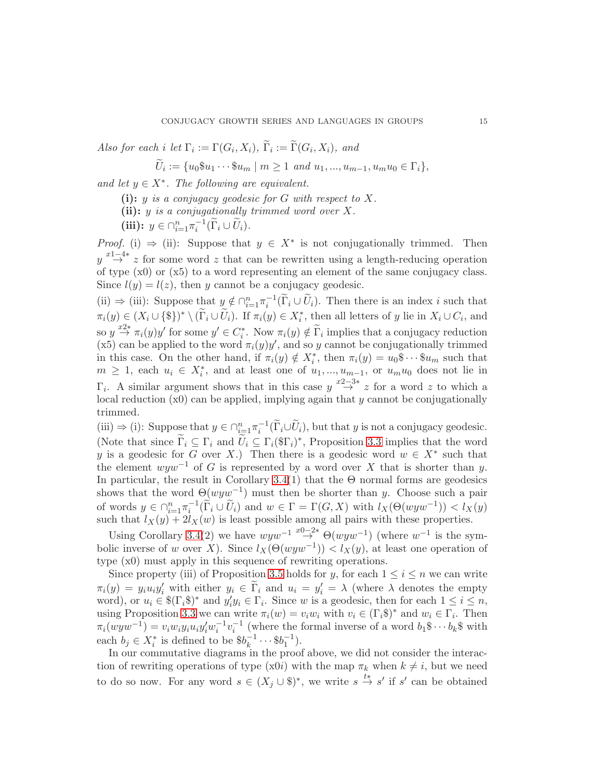Also for each i let  $\Gamma_i := \Gamma(G_i, X_i)$ ,  $\Gamma_i := \Gamma(G_i, X_i)$ , and

 $U_i := \{u_0\$_{u_1}\cdots\$_{u_m}\mid m\geq 1\ \text{and}\ u_1,...,u_{m-1},u_mu_0\in\Gamma_i\},\$ 

and let  $y \in X^*$ . The following are equivalent.

(i):  $y$  is a conjugacy geodesic for G with respect to X.

(ii):  $y$  is a conjugationally trimmed word over  $X$ .

(iii):  $y \in \bigcap_{i=1}^n \pi_i^{-1}(\widetilde{\Gamma}_i \cup \widetilde{U}_i).$ 

*Proof.* (i)  $\Rightarrow$  (ii): Suppose that  $y \in X^*$  is not conjugationally trimmed. Then  $y \stackrel{x-1-4*}{\rightarrow} z$  for some word z that can be rewritten using a length-reducing operation of type  $(x0)$  or  $(x5)$  to a word representing an element of the same conjugacy class. Since  $l(y) = l(z)$ , then y cannot be a conjugacy geodesic.

(ii)  $\Rightarrow$  (iii): Suppose that  $y \notin \bigcap_{i=1}^n \pi_i^{-1}(\widetilde{\Gamma}_i \cup \widetilde{U}_i)$ . Then there is an index i such that  $\pi_i(y) \in (X_i \cup \{\$\})^* \setminus (\Gamma_i \cup U_i)$ . If  $\pi_i(y) \in X_i^*$ , then all letters of y lie in  $X_i \cup C_i$ , and so  $y \stackrel{x2*}{\rightarrow} \pi_i(y)y'$  for some  $y' \in C_i^*$ . Now  $\pi_i(y) \notin \widetilde{\Gamma}_i$  implies that a conjugacy reduction (x5) can be applied to the word  $\pi_i(y)y'$ , and so y cannot be conjugationally trimmed in this case. On the other hand, if  $\pi_i(y) \notin X_i^*$ , then  $\pi_i(y) = u_0 \$ \cdots \$ u_m$  such that  $m \geq 1$ , each  $u_i \in X_i^*$ , and at least one of  $u_1, ..., u_{m-1}$ , or  $u_m u_0$  does not lie in  $\Gamma_i$ . A similar argument shows that in this case  $y \stackrel{x^2-3*}{\rightarrow} z$  for a word z to which a local reduction  $(x0)$  can be applied, implying again that y cannot be conjugationally trimmed.

(iii)  $\Rightarrow$  (i): Suppose that  $y \in \bigcap_{i=1}^n \pi_i^{-1}(\widetilde{\Gamma}_i \cup \widetilde{U}_i)$ , but that y is not a conjugacy geodesic. (Note that since  $\tilde{\Gamma}_i \subseteq \Gamma_i$  and  $\tilde{U}_i \subseteq \Gamma_i(\$\Gamma_i]^*$ , Proposition [3.3](#page-12-0) implies that the word y is a geodesic for G over X.) Then there is a geodesic word  $w \in X^*$  such that the element  $www^{-1}$  of G is represented by a word over X that is shorter than y. In particular, the result in Corollary  $3.4(1)$  that the  $\Theta$  normal forms are geodesics shows that the word  $\Theta(wyw^{-1})$  must then be shorter than y. Choose such a pair of words  $y \in \bigcap_{i=1}^n \pi_i^{-1}(\widetilde{\Gamma}_i \cup \widetilde{U}_i)$  and  $w \in \Gamma = \Gamma(G, X)$  with  $l_X(\Theta(wyw^{-1})) < l_X(y)$ such that  $l_X(y) + 2l_X(w)$  is least possible among all pairs with these properties.

Using Corollary [3.4\(](#page-13-1)2) we have  $wyw^{-1} \stackrel{x_0-2*}{\rightarrow} \Theta(wyw^{-1})$  (where  $w^{-1}$  is the symbolic inverse of w over X). Since  $l_X(\Theta(wyw^{-1})) < l_X(y)$ , at least one operation of type (x0) must apply in this sequence of rewriting operations.

Since property (iii) of Proposition [3.5](#page-13-0) holds for y, for each  $1 \leq i \leq n$  we can write  $\pi_i(y) = y_i u_i y'_i$  with either  $y_i \in \tilde{\Gamma}_i$  and  $u_i = y'_i = \lambda$  (where  $\lambda$  denotes the empty word), or  $u_i \in \mathcal{F}(\Gamma_i \mathcal{F})^*$  and  $y_i' y_i \in \Gamma_i$ . Since w is a geodesic, then for each  $1 \leq i \leq n$ , using Proposition [3.3](#page-12-0) we can write  $\pi_i(w) = v_i w_i$  with  $v_i \in (\Gamma_i \mathbb{S})^*$  and  $w_i \in \Gamma_i$ . Then  $\pi_i(wyw^{-1}) = v_iw_iy_iu_iy_i'w_i^{-1}v_i^{-1}$  (where the formal inverse of a word  $b_1\$ s $\cdots$   $b_k\$  with each  $b_j \in X_i^*$  is defined to be  $$b_k^{-1}$  $\frac{-1}{k} \cdots \$b_1^{-1}$ ).

In our commutative diagrams in the proof above, we did not consider the interaction of rewriting operations of type (x0i) with the map  $\pi_k$  when  $k \neq i$ , but we need to do so now. For any word  $s \in (X_j \cup \S)^*$ , we write  $s \stackrel{t*}{\to} s'$  if  $s'$  can be obtained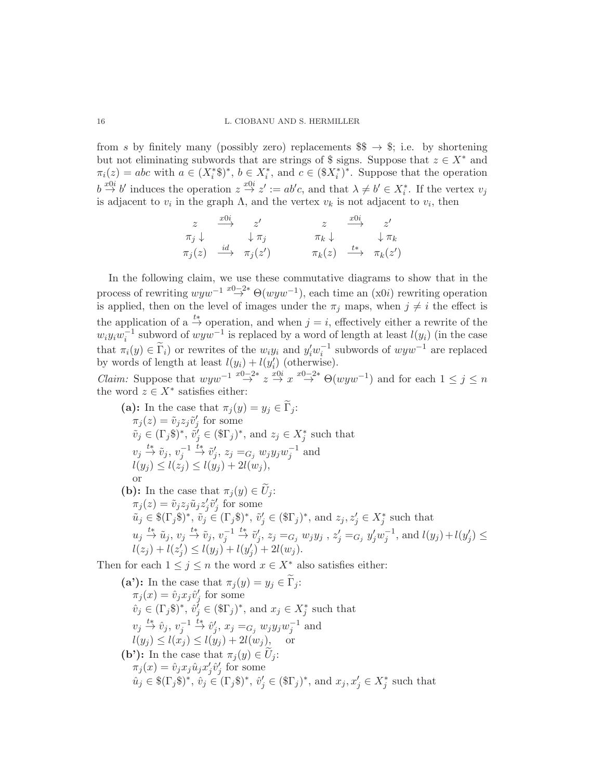from s by finitely many (possibly zero) replacements  $\$\rightarrow\$ ; i.e. by shortening but not eliminating subwords that are strings of \$ signs. Suppose that  $z \in X^*$  and  $\pi_i(z) = abc$  with  $a \in (X_i^*)^*$ ,  $b \in X_i^*$ , and  $c \in (\$X_i^*)^*$ . Suppose that the operation  $b \stackrel{x0i}{\rightarrow} b'$  induces the operation  $z \stackrel{x0i}{\rightarrow} z' := ab'c$ , and that  $\lambda \neq b' \in X_i^*$ . If the vertex  $v_j$ is adjacent to  $v_i$  in the graph  $\Lambda$ , and the vertex  $v_k$  is not adjacent to  $v_i$ , then

$$
\begin{array}{ccccccc}\nz & \xrightarrow{x0i} & z' & z & \xrightarrow{x0i} & z' \\
\pi_j \downarrow & & \downarrow \pi_j & & \pi_k \downarrow & & \downarrow \pi_k \\
\pi_j(z) & \xrightarrow{id} & \pi_j(z') & & \pi_k(z) & \xrightarrow{t*} & \pi_k(z')\n\end{array}
$$

In the following claim, we use these commutative diagrams to show that in the process of rewriting  $wyw^{-1} \stackrel{x_0-2*}{\rightarrow} \Theta(wyw^{-1})$ , each time an  $(x0i)$  rewriting operation is applied, then on the level of images under the  $\pi_j$  maps, when  $j \neq i$  the effect is the application of a  $\stackrel{t*}{\rightarrow}$  operation, and when  $j = i$ , effectively either a rewrite of the  $w_i y_i w_i^{-1}$  subword of  $wyw^{-1}$  is replaced by a word of length at least  $l(y_i)$  (in the case that  $\pi_i(y) \in \widetilde{\Gamma}_i$  or rewrites of the  $w_i y_i$  and  $y'_i w_i^{-1}$  subwords of  $wyw^{-1}$  are replaced by words of length at least  $l(y_i) + l(y'_i)$  (otherwise).

*Claim:* Suppose that  $wyw^{-1} \stackrel{x_0-2*}{\rightarrow} z \stackrel{x_0}{\rightarrow} x \stackrel{x_0-2*}{\rightarrow} \Theta(wyw^{-1})$  and for each  $1 \leq j \leq n$ the word  $z \in X^*$  satisfies either:

(a): In the case that 
$$
\pi_j(y) = y_j \in \Gamma_j
$$
:  
\n $\pi_j(z) = \tilde{v}_j z_j \tilde{v}'_j$  for some  
\n $\tilde{v}_j \in (\Gamma_j \S)^*$ ,  $\tilde{v}'_j \in (\S \Gamma_j)^*$ , and  $z_j \in X_j^*$  such that  
\n $v_j \stackrel{t*}{\rightarrow} \tilde{v}_j, v_j^{-1} \stackrel{t*}{\rightarrow} \tilde{v}'_j, z_j =_{G_j} w_j y_j w_j^{-1}$  and  
\n $l(y_j) \le l(z_j) \le l(y_j) + 2l(w_j)$ ,  
\nor  
\n(b): In the case that  $\pi_j(y) \in \tilde{U}_j$ :  
\n $\pi_j(z) = \tilde{v}_j z_j \tilde{u}_j z'_j \tilde{v}'_j$  for some  
\n $\tilde{u}_j \in \S(\Gamma_j \S)^*$ ,  $\tilde{v}_j \in (\Gamma_j \S)^*$ ,  $\tilde{v}'_j \in (\S \Gamma_j)^*$ , and  $z_j, z'_j \in X_j^*$  such that  
\n $u_j \stackrel{t*}{\rightarrow} \tilde{u}_j, v_j \stackrel{t*}{\rightarrow} \tilde{v}_j, v_j^{-1} \stackrel{t*}{\rightarrow} \tilde{v}'_j, z_j =_{G_j} w_j y_j, z'_j =_{G_j} y'_j w_j^{-1}$ , and  $l(y_j) + l(y'_j) \le l(z_j) + l(z'_j) \le l(y_j) + l(y'_j) + 2l(w_j)$ .

Then for each  $1 \leq j \leq n$  the word  $x \in X^*$  also satisfies either:

\n- (a'): In the case that 
$$
\pi_j(y) = y_j \in \Gamma_j
$$
:  $\pi_j(x) = \hat{v}_j x_j \hat{v}'_j$  for some  $\hat{v}_j \in (\Gamma_j \S)^*$ ,  $\hat{v}'_j \in (\S \Gamma_j)^*$ , and  $x_j \in X_j^*$  such that  $v_j \xrightarrow{t*} \hat{v}_j, v_j^{-1} \xrightarrow{t*} \hat{v}'_j, x_j = c_j w_j y_j w_j^{-1}$  and  $l(y_j) \leq l(x_j) \leq l(y_j) + 2l(w_j)$ , or
\n- (b'): In the case that  $\pi_j(y) \in \tilde{U}_j$ :  $\pi_j(x) = \hat{v}_j x_j \hat{u}_j x'_j \hat{v}'_j$  for some  $\hat{u}_j \in \S(\Gamma_j \S)^*$ ,  $\hat{v}_j \in (\Gamma_j \S)^*$ ,  $\hat{v}'_j \in (\S \Gamma_j)^*$ , and  $x_j, x'_j \in X_j^*$  such that
\n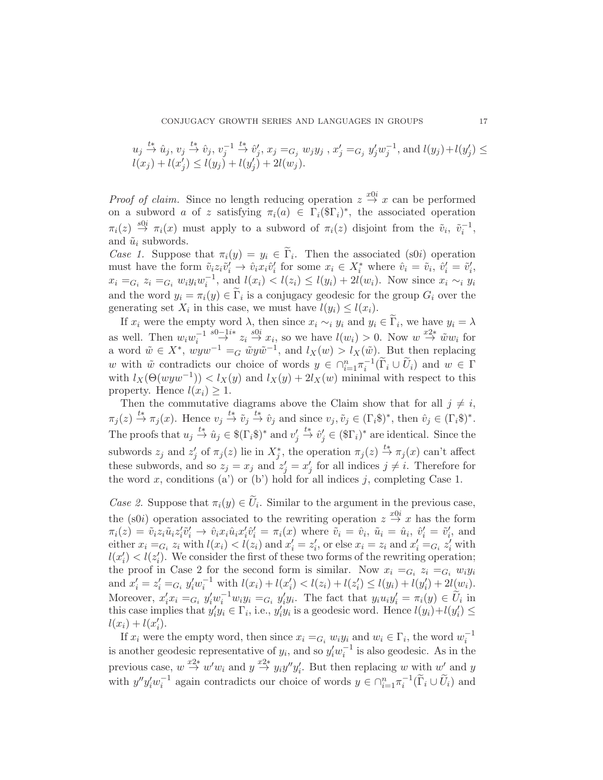$$
u_j \stackrel{t*}{\to} \hat{u}_j, v_j \stackrel{t*}{\to} \hat{v}_j, v_j^{-1} \stackrel{t*}{\to} \hat{v}'_j, x_j =_{G_j} w_j y_j
$$
,  $x'_j =_{G_j} y'_j w_j^{-1}$ , and  $l(y_j) + l(y'_j) \leq l(x_j) + l(x'_j) \leq l(y_j) + l(y'_j) + 2l(w_j)$ .

*Proof of claim.* Since no length reducing operation  $z \stackrel{x0i}{\rightarrow} x$  can be performed on a subword a of z satisfying  $\pi_i(a) \in \Gamma_i(\mathcal{T}_i)^*$ , the associated operation  $\pi_i(z) \stackrel{s0i}{\rightarrow} \pi_i(x)$  must apply to a subword of  $\pi_i(z)$  disjoint from the  $\tilde{v}_i$ ,  $\tilde{v}_i^{-1}$ , and  $\tilde{u}_i$  subwords.

Case 1. Suppose that  $\pi_i(y) = y_i \in \Gamma_i$ . Then the associated (s0i) operation must have the form  $\tilde{v}_i z_i \tilde{v}'_i \to \hat{v}_i x_i \hat{v}'_i$  for some  $x_i \in X_i^*$  where  $\hat{v}_i = \tilde{v}_i$ ,  $\hat{v}'_i = \tilde{v}'_i$ ,  $x_i =_{G_i} z_i =_{G_i} w_i y_i w_i^{-1}$ , and  $l(x_i) < l(z_i) \le l(y_i) + 2l(w_i)$ . Now since  $x_i \sim_i y_i$ and the word  $y_i = \pi_i(y) \in \Gamma_i$  is a conjugacy geodesic for the group  $G_i$  over the generating set  $X_i$  in this case, we must have  $l(y_i) \leq l(x_i)$ .

If  $x_i$  were the empty word  $\lambda$ , then since  $x_i \sim_i y_i$  and  $y_i \in \Gamma_i$ , we have  $y_i = \lambda$ as well. Then  $w_i w_i^{-1} \stackrel{s0-1}{\rightarrow} z_i \stackrel{s0i}{\rightarrow} x_i$ , so we have  $l(w_i) > 0$ . Now  $w \stackrel{x2*}{\rightarrow} \tilde{w} w_i$  for a word  $\tilde{w} \in X^*$ ,  $wyw^{-1} =_G \tilde{w}y\tilde{w}^{-1}$ , and  $l_X(w) > l_X(\tilde{w})$ . But then replacing w with  $\tilde{w}$  contradicts our choice of words  $y \in \bigcap_{i=1}^n \pi_i^{-1}(\tilde{\Gamma}_i \cup \tilde{U}_i)$  and  $w \in \Gamma$ with  $l_X(\Theta(wyw^{-1})) < l_X(y)$  and  $l_X(y) + 2l_X(w)$  minimal with respect to this property. Hence  $l(x_i) \geq 1$ .

Then the commutative diagrams above the Claim show that for all  $j \neq i$ ,  $\pi_j(z) \stackrel{t*}{\rightarrow} \pi_j(x)$ . Hence  $v_j \stackrel{t*}{\rightarrow} \tilde{v}_j \stackrel{t*}{\rightarrow} \hat{v}_j$  and since  $v_j, \tilde{v}_j \in (\Gamma_i \S)^*$ , then  $\hat{v}_j \in (\Gamma_i \S)^*$ . The proofs that  $u_j \stackrel{t*}{\to} \hat{u}_j \in \frac{\mathcal{E}(\Gamma_i \mathcal{E})^*}{\to}$  and  $v'_j \stackrel{t*}{\to} \hat{v}'_j \in (\mathcal{E}(\Gamma_i))^*$  are identical. Since the subwords  $z_j$  and  $z'_j$  of  $\pi_j(z)$  lie in  $X_j^*$ , the operation  $\pi_j(z) \stackrel{t*}{\to} \pi_j(x)$  can't affect these subwords, and so  $z_j = x_j$  and  $z'_j = x'_j$  for all indices  $j \neq i$ . Therefore for the word x, conditions (a') or (b') hold for all indices j, completing Case 1.

Case 2. Suppose that  $\pi_i(y) \in U_i$ . Similar to the argument in the previous case, the (s0*i*) operation associated to the rewriting operation  $z \stackrel{x0i}{\rightarrow} x$  has the form  $\pi_i(z) = \tilde{v}_i z_i \tilde{u}_i z'_i \tilde{v}'_i \rightarrow \hat{v}_i x_i \hat{u}_i x'_i \tilde{v}'_i = \pi_i(x)$  where  $\tilde{v}_i = \hat{v}_i$ ,  $\tilde{u}_i = \hat{u}_i$ ,  $\hat{v}'_i = \tilde{v}'_i$ , and either  $x_i =_{G_i} z_i$  with  $l(x_i) < l(z_i)$  and  $x'_i = z'_i$ , or else  $x_i = z_i$  and  $x'_i =_{G_i} z'_i$  with  $l(x'_i) < l(z'_i)$ . We consider the first of these two forms of the rewriting operation; the proof in Case 2 for the second form is similar. Now  $x_i =_{G_i} z_i =_{G_i} w_i y_i$ and  $x'_{i} = z'_{i} = G_{i} y'_{i} w_{i}^{-1}$  with  $l(x_{i}) + l(x'_{i}) < l(z_{i}) + l(z'_{i}) \leq l(y_{i}) + l(y'_{i}) + 2l(w_{i}).$ Moreover,  $x'_i x_i =_{G_i} y'_i w_i^{-1} w_i y_i =_{G_i} y'_i y_i$ . The fact that  $y_i u_i y'_i = \pi_i(y) \in \widetilde{U}_i$  in this case implies that  $y'_i y_i \in \Gamma_i$ , i.e.,  $y'_i y_i$  is a geodesic word. Hence  $l(y_i) + l(y'_i) \leq$  $l(x_i) + l(x'_i).$ 

If  $x_i$  were the empty word, then since  $x_i =_{G_i} w_i y_i$  and  $w_i \in \Gamma_i$ , the word  $w_i^{-1}$ is another geodesic representative of  $y_i$ , and so  $y'_i w_i^{-1}$  is also geodesic. As in the previous case,  $w \stackrel{x2*}{\rightarrow} w'w_i$  and  $y \stackrel{x2*}{\rightarrow} y_iy''y'_i$ . But then replacing w with  $w'$  and y with  $y''y'_i w_i^{-1}$  again contradicts our choice of words  $y \in \bigcap_{i=1}^n \pi_i^{-1}(\widetilde{\Gamma}_i \cup \widetilde{U}_i)$  and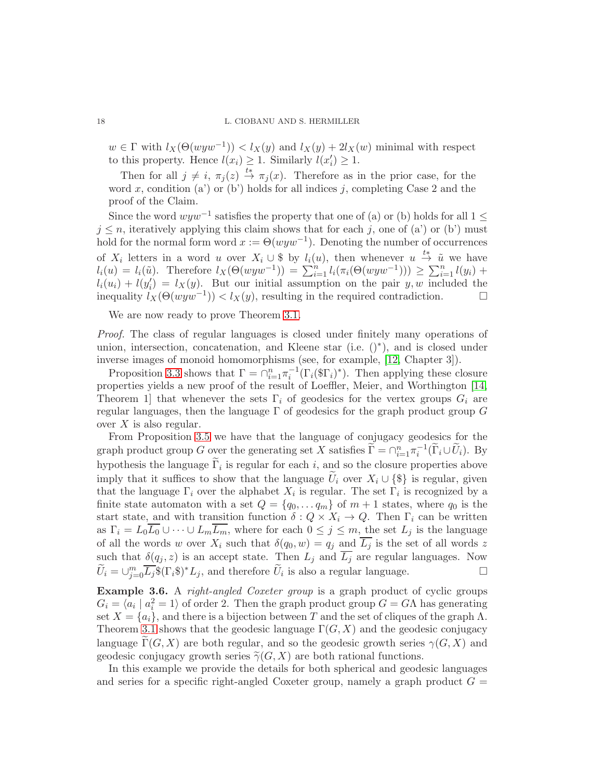$w \in \Gamma$  with  $l_X(\Theta(wyw^{-1})) < l_X(y)$  and  $l_X(y) + 2l_X(w)$  minimal with respect to this property. Hence  $l(x_i) \geq 1$ . Similarly  $l(x'_i) \geq 1$ .

Then for all  $j \neq i$ ,  $\pi_j (z) \stackrel{t*}{\rightarrow} \pi_j (x)$ . Therefore as in the prior case, for the word x, condition (a') or (b') holds for all indices j, completing Case 2 and the proof of the Claim.

Since the word  $wyw^{-1}$  satisfies the property that one of (a) or (b) holds for all 1 ≤  $j \leq n$ , iteratively applying this claim shows that for each j, one of (a') or (b') must hold for the normal form word  $x := \Theta(w y w^{-1})$ . Denoting the number of occurrences of  $X_i$  letters in a word u over  $X_i \cup \$$  by  $l_i(u)$ , then whenever  $u \stackrel{t*}{\rightarrow} \tilde{u}$  we have  $l_i(u) = l_i(\tilde{u})$ . Therefore  $l_X(\Theta(wyw^{-1})) = \sum_{i=1}^n l_i(\pi_i(\Theta(wyw^{-1}))) \ge \sum_{i=1}^n l(y_i) +$  $l_i(u_i) + l(y'_i) = l_X(y)$ . But our initial assumption on the pair y, w included the inequality  $l_X(\Theta(wyw^{-1})) < l_X(y)$ , resulting in the required contradiction.  $\Box$ 

We are now ready to prove Theorem [3.1.](#page-9-1)

Proof. The class of regular languages is closed under finitely many operations of union, intersection, concatenation, and Kleene star (i.e. ()<sup>∗</sup> ), and is closed under inverse images of monoid homomorphisms (see, for example, [\[12,](#page-24-4) Chapter 3]).

Proposition [3.3](#page-12-0) shows that  $\Gamma = \cap_{i=1}^n \pi_i^{-1} (\Gamma_i(\mathbb{S} \Gamma_i)^*)$ . Then applying these closure properties yields a new proof of the result of Loeffler, Meier, and Worthington [\[14,](#page-24-3) Theorem 1 that whenever the sets  $\Gamma_i$  of geodesics for the vertex groups  $G_i$  are regular languages, then the language  $\Gamma$  of geodesics for the graph product group G over  $X$  is also regular.

From Proposition [3.5](#page-13-0) we have that the language of conjugacy geodesics for the graph product group G over the generating set X satisfies  $\widetilde{\Gamma} = \cap_{i=1}^n \pi_i^{-1}(\widetilde{\Gamma}_i \cup \widetilde{U}_i)$ . By hypothesis the language  $\Gamma_i$  is regular for each i, and so the closure properties above imply that it suffices to show that the language  $U_i$  over  $X_i \cup \{\$\}$  is regular, given that the language  $\Gamma_i$  over the alphabet  $X_i$  is regular. The set  $\Gamma_i$  is recognized by a finite state automaton with a set  $Q = \{q_0, \ldots q_m\}$  of  $m + 1$  states, where  $q_0$  is the start state, and with transition function  $\delta: Q \times X_i \to Q$ . Then  $\Gamma_i$  can be written as  $\Gamma_i = L_0 \overline{L_0} \cup \cdots \cup L_m \overline{L_m}$ , where for each  $0 \leq j \leq m$ , the set  $L_j$  is the language of all the words w over  $X_i$  such that  $\delta(q_0, w) = q_j$  and  $\overline{L_j}$  is the set of all words z such that  $\delta(q_i, z)$  is an accept state. Then  $L_i$  and  $L_j$  are regular languages. Now  $\widetilde{U}_i = \bigcup_{j=0}^m \overline{L_j} \$(\Gamma_i \$)^* L_j$ , and therefore  $\widetilde{U}_i$  is also a regular language.

<span id="page-17-0"></span>Example 3.6. A right-angled Coxeter group is a graph product of cyclic groups  $G_i = \langle a_i | a_i^2 = 1 \rangle$  of order 2. Then the graph product group  $G = G\Lambda$  has generating set  $X = \{a_i\}$ , and there is a bijection between T and the set of cliques of the graph  $\Lambda$ . Theorem [3.1](#page-9-1) shows that the geodesic language  $\Gamma(G, X)$  and the geodesic conjugacy language  $\Gamma(G, X)$  are both regular, and so the geodesic growth series  $\gamma(G, X)$  and geodesic conjugacy growth series  $\tilde{\gamma}(G, X)$  are both rational functions.

In this example we provide the details for both spherical and geodesic languages and series for a specific right-angled Coxeter group, namely a graph product  $G =$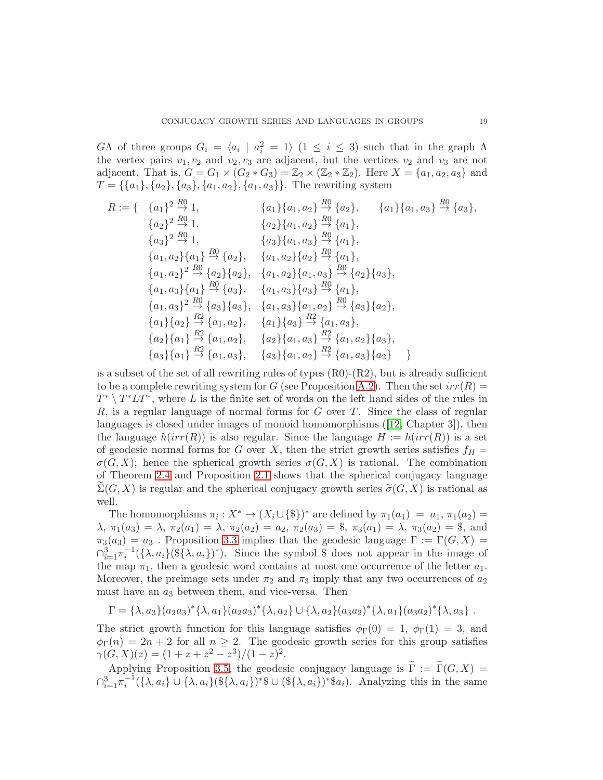$G\Lambda$  of three groups  $G_i = \langle a_i | a_i^2 = 1 \rangle$   $(1 \leq i \leq 3)$  such that in the graph  $\Lambda$ the vertex pairs  $v_1, v_2$  and  $v_2, v_3$  are adjacent, but the vertices  $v_2$  and  $v_3$  are not adjacent. That is,  $G = G_1 \times (G_2 * G_3) = \mathbb{Z}_2 \times (\mathbb{Z}_2 * \mathbb{Z}_2)$ . Here  $X = \{a_1, a_2, a_3\}$  and  $T = \{\{a_1\}, \{a_2\}, \{a_3\}, \{a_1, a_2\}, \{a_1, a_3\}\}\.$  The rewriting system

$$
R := \{ \begin{array}{ll}\n\{a_1\}^2 \xrightarrow{R0} 1, & \{a_1\} \{a_1, a_2\} \xrightarrow{R0} \{a_2\}, & \{a_1\} \{a_1, a_3\} \xrightarrow{R0} \{a_3\}, \\
\{a_2\}^2 \xrightarrow{R0} 1, & \{a_2\} \{a_1, a_2\} \xrightarrow{R0} \{a_1\}, \\
\{a_1, a_2\} \{a_1\} \xrightarrow{R1} \xrightarrow{R2} \{a_1\}, \\
\{a_1, a_2\} \{a_1\} \xrightarrow{R0} \{a_2\}, & \{a_1, a_2\} \{a_2\} \xrightarrow{R0} \{a_1\}, \\
\{a_1, a_2\}^2 \xrightarrow{R0} \{a_2\}, & \{a_1, a_2\} \{a_1, a_3\} \xrightarrow{R0} \{a_2\} \{a_3\}, \\
\{a_1, a_3\} \{a_1\} \xrightarrow{R0} \{a_3\}, & \{a_1, a_3\} \{a_3\} \xrightarrow{R0} \{a_1\}, \\
\{a_1, a_3\}^2 \xrightarrow{R0} \{a_3\}, & \{a_1, a_3\} \{a_1, a_2\} \xrightarrow{R0} \{a_3\}, \\
\{a_1\} \{a_2\} \xrightarrow{R2} \{a_1, a_2\}, & \{a_1\} \{a_3\} \xrightarrow{R2} \{a_1, a_3\}, \\
\{a_2\} \{a_1\} \xrightarrow{R2} \{a_1, a_2\}, & \{a_2\} \{a_1, a_3\} \xrightarrow{R2} \{a_1, a_2\} \{a_3\}, \\
\{a_3\} \{a_1\} \xrightarrow{R2} \{a_1, a_3\}, & \{a_2\} \{a_1, a_3\} \xrightarrow{R2} \{a_1, a_3\} \{a_2\} \end{array} \}
$$

is a subset of the set of all rewriting rules of types  $(R0)-(R2)$ , but is already sufficient to be a complete rewriting system for G (see Proposition [A.2\)](#page-26-0). Then the set  $irr(R)$  $T^* \setminus T^*LT^*$ , where L is the finite set of words on the left hand sides of the rules in  $R$ , is a regular language of normal forms for  $G$  over  $T$ . Since the class of regular languages is closed under images of monoid homomorphisms([\[12,](#page-24-4) Chapter 3]), then the language  $h(irr(R))$  is also regular. Since the language  $H := h(irr(R))$  is a set of geodesic normal forms for G over X, then the strict growth series satisfies  $f_H =$  $\sigma(G, X)$ ; hence the spherical growth series  $\sigma(G, X)$  is rational. The combination of Theorem [2.4](#page-6-0) and Proposition [2.1](#page-4-1) shows that the spherical conjugacy language  $\Sigma(G, X)$  is regular and the spherical conjugacy growth series  $\tilde{\sigma}(G, X)$  is rational as well.

The homomorphisms  $\pi_i: X^* \to (X_i \cup {\{\$\})^*}$  are defined by  $\pi_1(a_1) = a_1, \pi_1(a_2) =$  $\lambda, \pi_1(a_3) = \lambda, \pi_2(a_1) = \lambda, \pi_2(a_2) = a_2, \pi_2(a_3) = \text{\$}, \pi_3(a_1) = \lambda, \pi_3(a_2) = \text{\$}, \text{ and}$  $\pi_3(a_3) = a_3$ . Proposition [3.3](#page-12-0) implies that the geodesic language  $\Gamma := \Gamma(G, X) =$  $\bigcap_{i=1}^3 \pi_i^{-1}(\{\lambda, a_i\}(\mathcal{F}\{\lambda, a_i\})^*)$ . Since the symbol \$ does not appear in the image of the map  $\pi_1$ , then a geodesic word contains at most one occurrence of the letter  $a_1$ . Moreover, the preimage sets under  $\pi_2$  and  $\pi_3$  imply that any two occurrences of  $a_2$ must have an  $a_3$  between them, and vice-versa. Then

 $\Gamma = {\lambda, a_3}(a_2a_3)^* {\lambda, a_1}(a_2a_3)^* {\lambda, a_2} \cup {\lambda, a_2}(a_3a_2)^* {\lambda, a_1}(a_3a_2)^* {\lambda, a_3}.$ 

The strict growth function for this language satisfies  $\phi_{\Gamma}(0) = 1$ ,  $\phi_{\Gamma}(1) = 3$ , and  $\phi_{\Gamma}(n) = 2n + 2$  for all  $n \geq 2$ . The geodesic growth series for this group satisfies  $\gamma(G,X)(z) = (1 + z + z^2 - z^3)/(1-z)^2.$ 

Applying Proposition [3.5,](#page-13-0) the geodesic conjugacy language is  $\Gamma := \Gamma(G, X) =$  $\bigcap_{i=1}^3 \pi_i^{-1}(\{\lambda, a_i\} \cup \{\lambda, a_i\}(\{\{\lambda, a_i\})^*\})$ <sup>\*</sup>\$ ∪ (\$ $\{\lambda, a_i\}$ )<sup>\*</sup>\$ $a_i$ ). Analyzing this in the same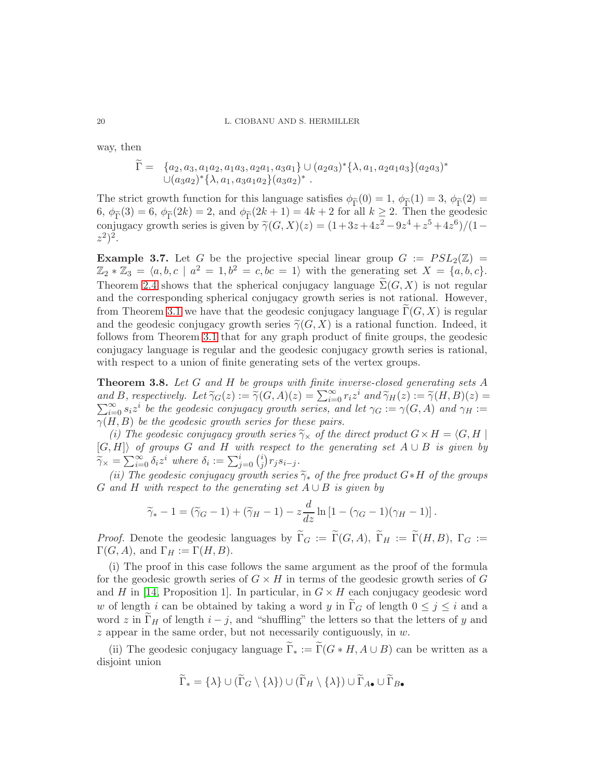way, then

$$
\widetilde{\Gamma} = \{a_2, a_3, a_1 a_2, a_1 a_3, a_2 a_1, a_3 a_1\} \cup (a_2 a_3)^{*} \{\lambda, a_1, a_2 a_1 a_3\} (a_2 a_3)^{*}
$$
  

$$
\cup (a_3 a_2)^{*} \{\lambda, a_1, a_3 a_1 a_2\} (a_3 a_2)^{*}.
$$

The strict growth function for this language satisfies  $\phi_{\tilde{\Gamma}}(0) = 1$ ,  $\phi_{\tilde{\Gamma}}(1) = 3$ ,  $\phi_{\tilde{\Gamma}}(2) =$ 6,  $\phi_{\widetilde{\Gamma}}(3) = 6$ ,  $\phi_{\widetilde{\Gamma}}(2k) = 2$ , and  $\phi_{\widetilde{\Gamma}}(2k+1) = 4k+2$  for all  $k \geq 2$ . Then the geodesic conjugacy growth series is given by  $\widetilde{\gamma}(G, X)(z) = (1 + 3z + 4z^2 - 9z^4 + z^5 + 4z^6)/(1 - 1)$  $(z^2)^2$ .

<span id="page-19-1"></span>**Example 3.7.** Let G be the projective special linear group  $G := PSL_2(\mathbb{Z}) =$  $\mathbb{Z}_2 * \mathbb{Z}_3 = \langle a, b, c \mid a^2 = 1, b^2 = c, bc = 1 \rangle$  with the generating set  $X = \{a, b, c\}.$ Theorem [2.4](#page-6-0) shows that the spherical conjugacy language  $\Sigma(G, X)$  is not regular and the corresponding spherical conjugacy growth series is not rational. However, from Theorem [3.1](#page-9-1) we have that the geodesic conjugacy language  $\Gamma(G, X)$  is regular and the geodesic conjugacy growth series  $\tilde{\gamma}(G, X)$  is a rational function. Indeed, it follows from Theorem [3.1](#page-9-1) that for any graph product of finite groups, the geodesic conjugacy language is regular and the geodesic conjugacy growth series is rational, with respect to a union of finite generating sets of the vertex groups.

<span id="page-19-0"></span>**Theorem 3.8.** Let G and H be groups with finite inverse-closed generating sets A and B, respectively. Let  $\widetilde{\gamma}_G(z) := \widetilde{\gamma}(G, A)(z) = \sum_{i=0}^{\infty} r_i z^i$  and  $\widetilde{\gamma}_H(z) := \widetilde{\gamma}(H, B)(z) = \sum_{i=0}^{\infty} r_i z^i$  $\sum_{i=0}^{\infty} s_i z^i$  be the geodesic conjugacy growth series, and let  $\gamma_G := \gamma(G,A)$  and  $\gamma_H :=$  $\gamma(H, B)$  be the geodesic growth series for these pairs.

(i) The geodesic conjugacy growth series  $\widetilde{\gamma}_{\times}$  of the direct product  $G \times H = \langle G, H |$  $[G, H]\rangle$  of groups G and H with respect to the generating set  $A \cup B$  is given by  $\widetilde{\gamma}_{\times} = \sum_{i=0}^{\infty} \delta_i z^i$  where  $\delta_i := \sum_{j=0}^i {i \choose j}$  $j(r_j s_{i-j}).$ 

(ii) The geodesic conjugacy growth series  $\widetilde{\gamma}_*$  of the free product G∗H of the groups G and H with respect to the generating set  $A \cup B$  is given by

$$
\widetilde{\gamma}_* - 1 = (\widetilde{\gamma}_G - 1) + (\widetilde{\gamma}_H - 1) - z \frac{d}{dz} \ln \left[ 1 - (\gamma_G - 1)(\gamma_H - 1) \right].
$$

*Proof.* Denote the geodesic languages by  $\widetilde{\Gamma}_G := \widetilde{\Gamma}(G, A)$ ,  $\widetilde{\Gamma}_H := \widetilde{\Gamma}(H, B)$ ,  $\Gamma_G :=$  $\Gamma(G, A)$ , and  $\Gamma_H := \Gamma(H, B)$ .

(i) The proof in this case follows the same argument as the proof of the formula for the geodesic growth series of  $G \times H$  in terms of the geodesic growth series of G and H in [\[14,](#page-24-3) Proposition 1]. In particular, in  $G \times H$  each conjugacy geodesic word w of length i can be obtained by taking a word y in  $\Gamma_G$  of length  $0 \leq j \leq i$  and a word z in  $\Gamma_H$  of length  $i - j$ , and "shuffling" the letters so that the letters of y and  $z$  appear in the same order, but not necessarily contiguously, in  $w$ .

(ii) The geodesic conjugacy language  $\widetilde{\Gamma}_* := \widetilde{\Gamma}(G * H, A \cup B)$  can be written as a disjoint union

$$
\widetilde{\Gamma}_* = \{\lambda\} \cup (\widetilde{\Gamma}_G \setminus \{\lambda\}) \cup (\widetilde{\Gamma}_H \setminus \{\lambda\}) \cup \widetilde{\Gamma}_{A\bullet} \cup \widetilde{\Gamma}_{B\bullet}
$$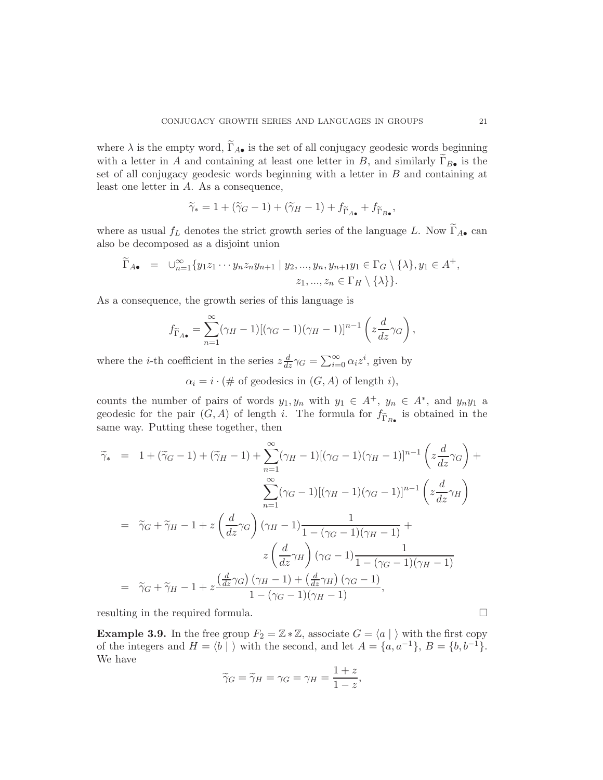where  $\lambda$  is the empty word,  $\widetilde{\Gamma}_{A\bullet}$  is the set of all conjugacy geodesic words beginning with a letter in A and containing at least one letter in B, and similarly  $\Gamma_{B\bullet}$  is the set of all conjugacy geodesic words beginning with a letter in  $B$  and containing at least one letter in A. As a consequence,

$$
\widetilde{\gamma}_* = 1 + (\widetilde{\gamma}_G - 1) + (\widetilde{\gamma}_H - 1) + f_{\widetilde{\Gamma}_{A\bullet}} + f_{\widetilde{\Gamma}_{B\bullet}},
$$

where as usual  $f_L$  denotes the strict growth series of the language L. Now  $\widetilde{\Gamma}_{A\bullet}$  can also be decomposed as a disjoint union

$$
\widetilde{\Gamma}_{A\bullet} = \cup_{n=1}^{\infty} \{ y_1 z_1 \cdots y_n z_n y_{n+1} \mid y_2, \ldots, y_n, y_{n+1} y_1 \in \Gamma_G \setminus \{\lambda\}, y_1 \in A^+, z_1, \ldots, z_n \in \Gamma_H \setminus \{\lambda\} \}.
$$

As a consequence, the growth series of this language is

$$
f_{\widetilde{\Gamma}_{A\bullet}} = \sum_{n=1}^{\infty} (\gamma_H - 1) [(\gamma_G - 1)(\gamma_H - 1)]^{n-1} \left( z \frac{d}{dz} \gamma_G \right),
$$

where the *i*-th coefficient in the series  $z \frac{d}{dz} \gamma_G = \sum_{i=0}^{\infty} \alpha_i z^i$ , given by

 $\alpha_i = i \cdot (\# \text{ of geodesics in } (G, A) \text{ of length } i),$ 

counts the number of pairs of words  $y_1, y_n$  with  $y_1 \in A^+$ ,  $y_n \in A^*$ , and  $y_n y_1$  a geodesic for the pair  $(G, A)$  of length i. The formula for  $f_{\widetilde{\Gamma}_{B\bullet}}$  is obtained in the same way. Putting these together, then

$$
\tilde{\gamma}_{*} = 1 + (\tilde{\gamma}_{G} - 1) + (\tilde{\gamma}_{H} - 1) + \sum_{n=1}^{\infty} (\gamma_{H} - 1)[(\gamma_{G} - 1)(\gamma_{H} - 1)]^{n-1} \left(z \frac{d}{dz} \gamma_{G}\right) + \sum_{n=1}^{\infty} (\gamma_{G} - 1)[(\gamma_{H} - 1)(\gamma_{G} - 1)]^{n-1} \left(z \frac{d}{dz} \gamma_{H}\right)
$$
  
\n
$$
= \tilde{\gamma}_{G} + \tilde{\gamma}_{H} - 1 + z \left(\frac{d}{dz} \gamma_{G}\right) (\gamma_{H} - 1) \frac{1}{1 - (\gamma_{G} - 1)(\gamma_{H} - 1)} + z \left(\frac{d}{dz} \gamma_{H}\right) (\gamma_{G} - 1) \frac{1}{1 - (\gamma_{G} - 1)(\gamma_{H} - 1)}
$$
  
\n
$$
= \tilde{\gamma}_{G} + \tilde{\gamma}_{H} - 1 + z \frac{\left(\frac{d}{dz} \gamma_{G}\right) (\gamma_{H} - 1) + \left(\frac{d}{dz} \gamma_{H}\right) (\gamma_{G} - 1)}{1 - (\gamma_{G} - 1)(\gamma_{H} - 1)},
$$

resulting in the required formula.

<span id="page-20-0"></span>**Example 3.9.** In the free group  $F_2 = \mathbb{Z} * \mathbb{Z}$ , associate  $G = \langle a | \rangle$  with the first copy of the integers and  $H = \langle b | \rangle$  with the second, and let  $A = \{a, a^{-1}\}, B = \{b, b^{-1}\}.$ We have

$$
\widetilde{\gamma}_G = \widetilde{\gamma}_H = \gamma_G = \gamma_H = \frac{1+z}{1-z},
$$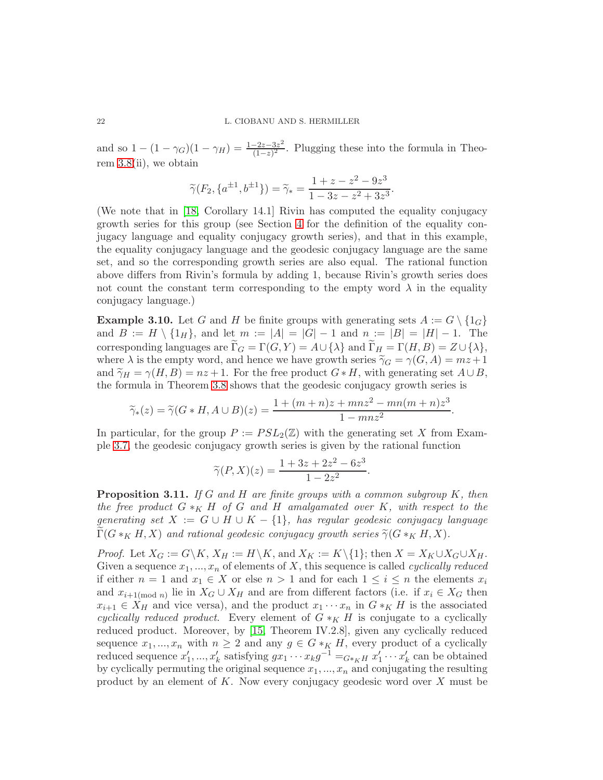and so  $1 - (1 - \gamma_G)(1 - \gamma_H) = \frac{1 - 2z - 3z^2}{(1 - z)^2}$  $\frac{-2z-3z^2}{(1-z)^2}$ . Plugging these into the formula in Theorem [3.8\(](#page-19-0)ii), we obtain

$$
\widetilde{\gamma}(F_2, \{a^{\pm 1}, b^{\pm 1}\}) = \widetilde{\gamma}_* = \frac{1 + z - z^2 - 9z^3}{1 - 3z - z^2 + 3z^3}.
$$

(We note that in [\[18,](#page-24-0) Corollary 14.1] Rivin has computed the equality conjugacy growth series for this group (see Section [4](#page-22-0) for the definition of the equality conjugacy language and equality conjugacy growth series), and that in this example, the equality conjugacy language and the geodesic conjugacy language are the same set, and so the corresponding growth series are also equal. The rational function above differs from Rivin's formula by adding 1, because Rivin's growth series does not count the constant term corresponding to the empty word  $\lambda$  in the equality conjugacy language.)

**Example 3.10.** Let G and H be finite groups with generating sets  $A := G \setminus \{1_G\}$ and  $B := H \setminus \{1_H\}$ , and let  $m := |A| = |G| - 1$  and  $n := |B| = |H| - 1$ . The corresponding languages are  $\Gamma_G = \Gamma(G, Y) = A \cup \{\lambda\}$  and  $\Gamma_H = \Gamma(H, B) = Z \cup \{\lambda\},$ where  $\lambda$  is the empty word, and hence we have growth series  $\tilde{\gamma}_G = \gamma(G, A) = mz + 1$ and  $\widetilde{\gamma}_H = \gamma(H, B) = nz + 1$ . For the free product  $G * H$ , with generating set  $A \cup B$ , the formula in Theorem [3.8](#page-19-0) shows that the geodesic conjugacy growth series is

$$
\widetilde{\gamma}_*(z) = \widetilde{\gamma}(G * H, A \cup B)(z) = \frac{1 + (m+n)z + mnz^2 - mn(m+n)z^3}{1 - mnz^2}
$$

.

In particular, for the group  $P := PSL_2(\mathbb{Z})$  with the generating set X from Example [3.7,](#page-19-1) the geodesic conjugacy growth series is given by the rational function

$$
\widetilde{\gamma}(P,X)(z) = \frac{1 + 3z + 2z^2 - 6z^3}{1 - 2z^2}.
$$

<span id="page-21-0"></span>**Proposition 3.11.** If G and H are finite groups with a common subgroup  $K$ , then the free product  $G *_{K} H$  of G and H amalgamated over K, with respect to the generating set  $X := G \cup H \cup K - \{1\}$ , has regular geodesic conjugacy language  $\Gamma(G *_{K} H, X)$  and rational geodesic conjugacy growth series  $\widetilde{\gamma}(G *_{K} H, X)$ .

*Proof.* Let  $X_G := G\backslash K$ ,  $X_H := H\backslash K$ , and  $X_K := K\backslash\{1\}$ ; then  $X = X_K \cup X_G \cup X_H$ . Given a sequence  $x_1, ..., x_n$  of elements of X, this sequence is called *cyclically reduced* if either  $n = 1$  and  $x_1 \in X$  or else  $n > 1$  and for each  $1 \leq i \leq n$  the elements  $x_i$ and  $x_{i+1 \pmod{n}}$  lie in  $X_G \cup X_H$  and are from different factors (i.e. if  $x_i \in X_G$  then  $x_{i+1} \in X_H$  and vice versa), and the product  $x_1 \cdots x_n$  in  $G *_{K} H$  is the associated cyclically reduced product. Every element of  $G *_{K} H$  is conjugate to a cyclically reduced product. Moreover, by [\[15,](#page-24-6) Theorem IV.2.8], given any cyclically reduced sequence  $x_1, ..., x_n$  with  $n \geq 2$  and any  $g \in G *_K H$ , every product of a cyclically reduced sequence  $x'_1, ..., x'_k$  satisfying  $gx_1 \cdots x_k g^{-1} =_{G^*KH} x'_1 \cdots x'_k$  can be obtained by cyclically permuting the original sequence  $x_1, ..., x_n$  and conjugating the resulting product by an element of  $K$ . Now every conjugacy geodesic word over  $X$  must be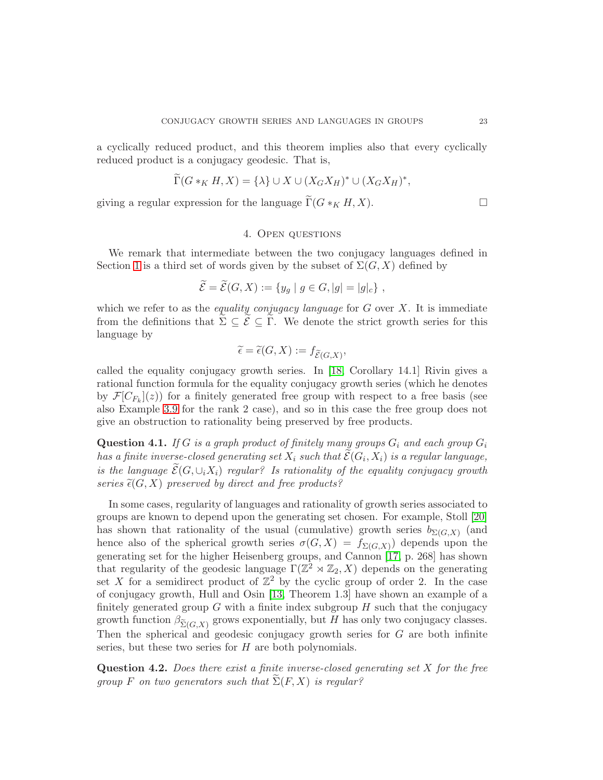a cyclically reduced product, and this theorem implies also that every cyclically reduced product is a conjugacy geodesic. That is,

$$
\widetilde{\Gamma}(G *_{K} H, X) = \{\lambda\} \cup X \cup (X_{G} X_{H})^{*} \cup (X_{G} X_{H})^{*},
$$

<span id="page-22-0"></span>giving a regular expression for the language  $\Gamma(G *_{K} H, X)$ .

### 4. Open questions

We remark that intermediate between the two conjugacy languages defined in Section [1](#page-0-0) is a third set of words given by the subset of  $\Sigma(G, X)$  defined by

$$
\widetilde{\mathcal{E}} = \widetilde{\mathcal{E}}(G, X) := \{ y_g \mid g \in G, |g| = |g|_c \},
$$

which we refer to as the *equality conjugacy language* for  $G$  over  $X$ . It is immediate from the definitions that  $\sum \subseteq \mathcal{E} \subseteq \Gamma$ . We denote the strict growth series for this language by

$$
\widetilde{\epsilon} = \widetilde{\epsilon}(G, X) := f_{\widetilde{\mathcal{E}}(G, X)},
$$

called the equality conjugacy growth series. In [\[18,](#page-24-0) Corollary 14.1] Rivin gives a rational function formula for the equality conjugacy growth series (which he denotes by  $\mathcal{F}[C_{F_k}](z)$ ) for a finitely generated free group with respect to a free basis (see also Example [3.9](#page-20-0) for the rank 2 case), and so in this case the free group does not give an obstruction to rationality being preserved by free products.

Question 4.1. If G is a graph product of finitely many groups  $G_i$  and each group  $G_i$ has a finite inverse-closed generating set  $X_i$  such that  $\mathcal{E}(G_i,X_i)$  is a regular language, is the language  $\mathcal{E}(G,\cup_i X_i)$  regular? Is rationality of the equality conjugacy growth series  $\tilde{\epsilon}(G, X)$  preserved by direct and free products?

In some cases, regularity of languages and rationality of growth series associated to groups are known to depend upon the generating set chosen. For example, Stoll [\[20\]](#page-24-7) has shown that rationality of the usual (cumulative) growth series  $b_{\Sigma(G,X)}$  (and hence also of the spherical growth series  $\sigma(G, X) = f_{\Sigma(G, X)}$  depends upon the generating set for the higher Heisenberg groups, and Cannon [\[17,](#page-24-8) p. 268] has shown that regularity of the geodesic language  $\Gamma(\mathbb{Z}^2 \rtimes \mathbb{Z}_2, X)$  depends on the generating set X for a semidirect product of  $\mathbb{Z}^2$  by the cyclic group of order 2. In the case of conjugacy growth, Hull and Osin [\[13,](#page-24-9) Theorem 1.3] have shown an example of a finitely generated group G with a finite index subgroup  $H$  such that the conjugacy growth function  $\beta_{\widetilde{ \Sigma }(G,X)}$  grows exponentially, but H has only two conjugacy classes. Then the spherical and geodesic conjugacy growth series for G are both infinite series, but these two series for H are both polynomials.

**Question 4.2.** Does there exist a finite inverse-closed generating set  $X$  for the free group F on two generators such that  $\Sigma(F, X)$  is regular?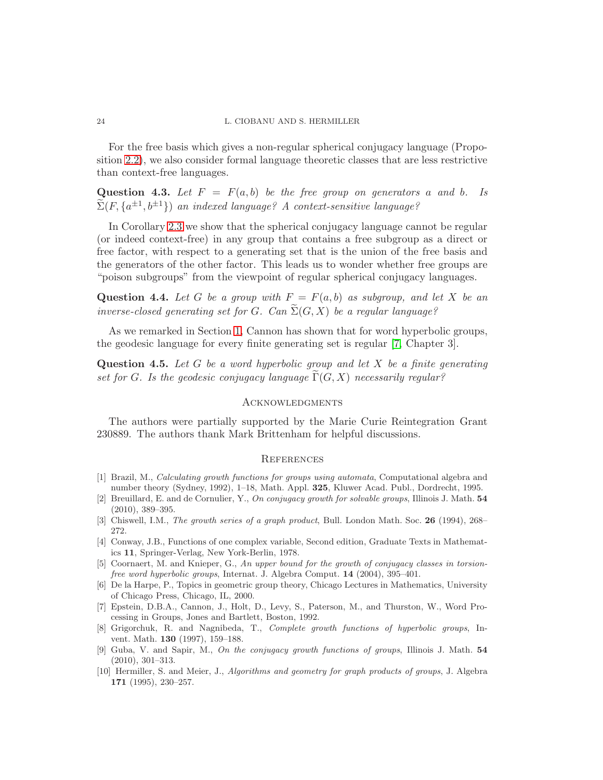For the free basis which gives a non-regular spherical conjugacy language (Proposition [2.2\)](#page-5-0), we also consider formal language theoretic classes that are less restrictive than context-free languages.

Question 4.3. Let  $F = F(a, b)$  be the free group on generators a and b. Is  $\widetilde{\Sigma}(F,\{a^{\pm 1},b^{\pm 1}\})$  an indexed language? A context-sensitive language?

In Corollary [2.3](#page-6-1) we show that the spherical conjugacy language cannot be regular (or indeed context-free) in any group that contains a free subgroup as a direct or free factor, with respect to a generating set that is the union of the free basis and the generators of the other factor. This leads us to wonder whether free groups are "poison subgroups" from the viewpoint of regular spherical conjugacy languages.

Question 4.4. Let G be a group with  $F = F(a, b)$  as subgroup, and let X be an inverse-closed generating set for G. Can  $\widetilde{\Sigma}(G, X)$  be a regular language?

As we remarked in Section [1,](#page-0-0) Cannon has shown that for word hyperbolic groups, the geodesic language for every finite generating set is regular [\[7,](#page-23-8) Chapter 3].

**Question 4.5.** Let G be a word hyperbolic group and let X be a finite generating set for G. Is the geodesic conjugacy language  $\Gamma(G, X)$  necessarily regular?

#### **ACKNOWLEDGMENTS**

The authors were partially supported by the Marie Curie Reintegration Grant 230889. The authors thank Mark Brittenham for helpful discussions.

#### **REFERENCES**

- <span id="page-23-0"></span>[1] Brazil, M., Calculating growth functions for groups using automata, Computational algebra and number theory (Sydney, 1992), 1–18, Math. Appl. 325, Kluwer Acad. Publ., Dordrecht, 1995.
- <span id="page-23-2"></span>[2] Breuillard, E. and de Cornulier, Y., On conjugacy growth for solvable groups, Illinois J. Math. 54 (2010), 389–395.
- <span id="page-23-9"></span><span id="page-23-5"></span>[3] Chiswell, I.M., *The growth series of a graph product*, Bull. London Math. Soc. 26 (1994), 268– 272.
- [4] Conway, J.B., Functions of one complex variable, Second edition, Graduate Texts in Mathematics 11, Springer-Verlag, New York-Berlin, 1978.
- <span id="page-23-3"></span>[5] Coornaert, M. and Knieper, G., An upper bound for the growth of conjugacy classes in torsionfree word hyperbolic groups, Internat. J. Algebra Comput. 14 (2004), 395–401.
- <span id="page-23-4"></span>[6] De la Harpe, P., Topics in geometric group theory, Chicago Lectures in Mathematics, University of Chicago Press, Chicago, IL, 2000.
- <span id="page-23-8"></span>[7] Epstein, D.B.A., Cannon, J., Holt, D., Levy, S., Paterson, M., and Thurston, W., Word Processing in Groups, Jones and Bartlett, Boston, 1992.
- <span id="page-23-7"></span>[8] Grigorchuk, R. and Nagnibeda, T., Complete growth functions of hyperbolic groups, Invent. Math. 130 (1997), 159–188.
- <span id="page-23-1"></span>[9] Guba, V. and Sapir, M., On the conjugacy growth functions of groups, Illinois J. Math. 54 (2010), 301–313.
- <span id="page-23-6"></span>[10] Hermiller, S. and Meier, J., Algorithms and geometry for graph products of groups, J. Algebra 171 (1995), 230–257.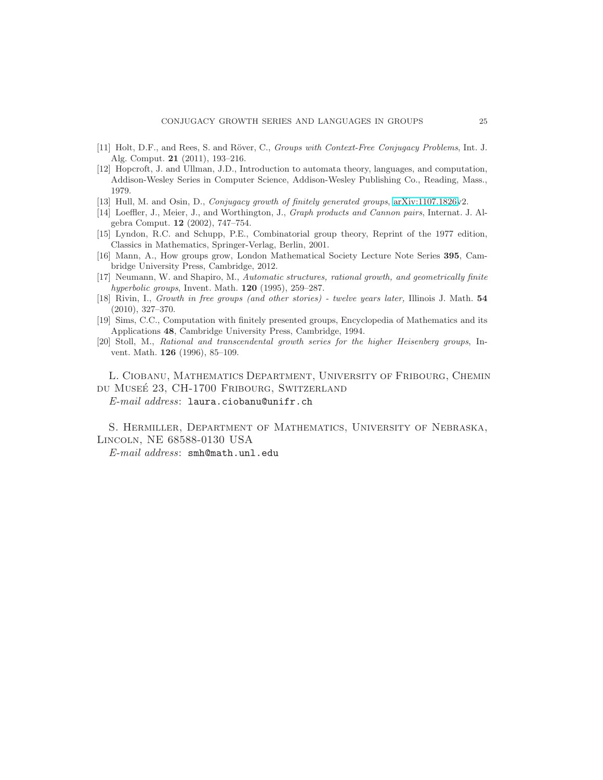- <span id="page-24-4"></span><span id="page-24-2"></span>[11] Holt, D.F., and Rees, S. and Röver, C., Groups with Context-Free Conjugacy Problems, Int. J. Alg. Comput. 21 (2011), 193–216.
- [12] Hopcroft, J. and Ullman, J.D., Introduction to automata theory, languages, and computation, Addison-Wesley Series in Computer Science, Addison-Wesley Publishing Co., Reading, Mass., 1979.
- <span id="page-24-9"></span><span id="page-24-3"></span>[13] Hull, M. and Osin, D., Conjugacy growth of finitely generated groups, [arXiv:1107.1826v](http://arxiv.org/abs/1107.1826)2.
- <span id="page-24-6"></span>[14] Loeffler, J., Meier, J., and Worthington, J., Graph products and Cannon pairs, Internat. J. Algebra Comput. 12 (2002), 747–754.
- [15] Lyndon, R.C. and Schupp, P.E., Combinatorial group theory, Reprint of the 1977 edition, Classics in Mathematics, Springer-Verlag, Berlin, 2001.
- <span id="page-24-1"></span>[16] Mann, A., How groups grow, London Mathematical Society Lecture Note Series 395, Cambridge University Press, Cambridge, 2012.
- <span id="page-24-8"></span>[17] Neumann, W. and Shapiro, M., Automatic structures, rational growth, and geometrically finite hyperbolic groups, Invent. Math. 120 (1995), 259–287.
- <span id="page-24-0"></span>[18] Rivin, I., Growth in free groups (and other stories) - twelve years later, Illinois J. Math. 54 (2010), 327–370.
- <span id="page-24-5"></span>[19] Sims, C.C., Computation with finitely presented groups, Encyclopedia of Mathematics and its Applications 48, Cambridge University Press, Cambridge, 1994.
- <span id="page-24-7"></span>[20] Stoll, M., Rational and transcendental growth series for the higher Heisenberg groups, Invent. Math. 126 (1996), 85–109.

L. Ciobanu, Mathematics Department, University of Fribourg, Chemin du Muse´e 23, CH-1700 Fribourg, Switzerland E-mail address: laura.ciobanu@unifr.ch

S. Hermiller, Department of Mathematics, University of Nebraska, Lincoln, NE 68588-0130 USA

E-mail address: smh@math.unl.edu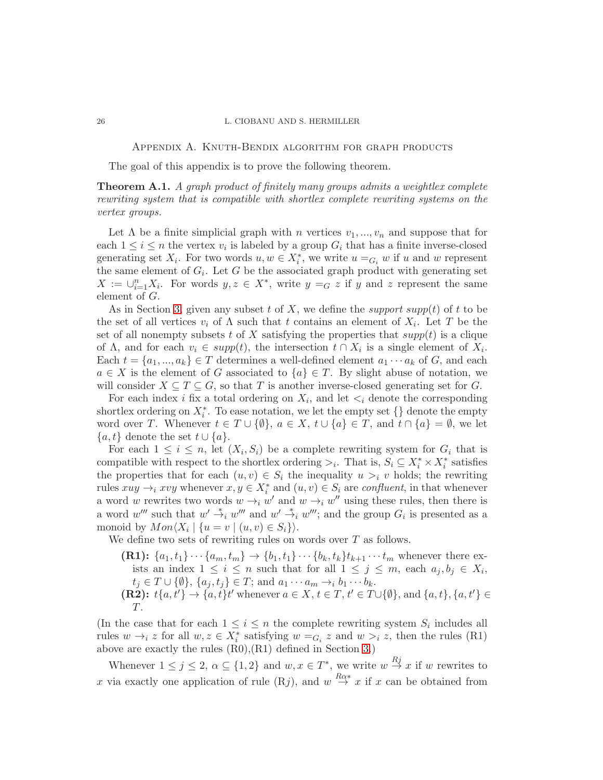#### <span id="page-25-0"></span>26 L. CIOBANU AND S. HERMILLER

Appendix A. Knuth-Bendix algorithm for graph products

The goal of this appendix is to prove the following theorem.

<span id="page-25-1"></span>**Theorem A.1.** A graph product of finitely many groups admits a weightlex complete rewriting system that is compatible with shortlex complete rewriting systems on the vertex groups.

Let  $\Lambda$  be a finite simplicial graph with n vertices  $v_1, ..., v_n$  and suppose that for each  $1 \leq i \leq n$  the vertex  $v_i$  is labeled by a group  $G_i$  that has a finite inverse-closed generating set  $X_i$ . For two words  $u, w \in X_i^*$ , we write  $u =_{G_i} w$  if u and w represent the same element of  $G_i$ . Let G be the associated graph product with generating set  $X := \bigcup_{i=1}^n X_i$ . For words  $y, z \in X^*$ , write  $y =_G z$  if y and z represent the same element of G.

As in Section [3,](#page-9-0) given any subset t of X, we define the support supp(t) of t to be the set of all vertices  $v_i$  of  $\Lambda$  such that t contains an element of  $X_i$ . Let T be the set of all nonempty subsets t of X satisfying the properties that  $supp(t)$  is a clique of  $\Lambda$ , and for each  $v_i \in supp(t)$ , the intersection  $t \cap X_i$  is a single element of  $X_i$ . Each  $t = \{a_1, ..., a_k\} \in T$  determines a well-defined element  $a_1 \cdots a_k$  of G, and each  $a \in X$  is the element of G associated to  $\{a\} \in T$ . By slight abuse of notation, we will consider  $X \subseteq T \subseteq G$ , so that T is another inverse-closed generating set for G.

For each index *i* fix a total ordering on  $X_i$ , and let  $\lt_i$  denote the corresponding shortlex ordering on  $X_i^*$ . To ease notation, we let the empty set  $\{\}$  denote the empty word over T. Whenever  $t \in T \cup \{\emptyset\}$ ,  $a \in X$ ,  $t \cup \{a\} \in T$ , and  $t \cap \{a\} = \emptyset$ , we let  $\{a, t\}$  denote the set  $t \cup \{a\}.$ 

For each  $1 \leq i \leq n$ , let  $(X_i, S_i)$  be a complete rewriting system for  $G_i$  that is compatible with respect to the shortlex ordering  $\geq_i$ . That is,  $S_i \subseteq X_i^* \times X_i^*$  satisfies the properties that for each  $(u, v) \in S_i$  the inequality  $u >_i v$  holds; the rewriting rules  $xuy \rightarrow_i xvy$  whenever  $x, y \in X_i^*$  and  $(u, v) \in S_i$  are *confluent*, in that whenever a word w rewrites two words  $w \rightarrow_i w'$  and  $w \rightarrow_i w''$  using these rules, then there is a word w''' such that  $w' \stackrel{*}{\rightarrow}_i w'''$  and  $w' \stackrel{*}{\rightarrow}_i w'''$ ; and the group  $G_i$  is presented as a monoid by  $Mon\langle X_i | \{u = v | (u, v) \in S_i\}\rangle.$ 

We define two sets of rewriting rules on words over T as follows.

(R1):  ${a_1, t_1} \cdots {a_m, t_m} \rightarrow {b_1, t_1} \cdots {b_k, t_k} t_{k+1} \cdots t_m$  whenever there exists an index  $1 \leq i \leq n$  such that for all  $1 \leq j \leq m$ , each  $a_j, b_j \in X_i$ ,  $t_i \in T \cup \{\emptyset\}, \{a_j, t_j\} \in T;$  and  $a_1 \cdots a_m \rightarrow_i b_1 \cdots b_k$ . (R2):  $t\{a,t'\}\rightarrow\{a,t\}t'$  whenever  $a\in X, t\in T, t'\in T\cup\{\emptyset\}$ , and  $\{a,t\},\{a,t'\}\in$ T.

(In the case that for each  $1 \leq i \leq n$  the complete rewriting system  $S_i$  includes all rules  $w \rightarrow_i z$  for all  $w, z \in X_i^*$  satisfying  $w =_{G_i} z$  and  $w >_i z$ , then the rules (R1) above are exactly the rules (R0),(R1) defined in Section [3.](#page-9-0))

Whenever  $1 \leq j \leq 2$ ,  $\alpha \subseteq \{1,2\}$  and  $w, x \in T^*$ , we write  $w \stackrel{Rj}{\rightarrow} x$  if w rewrites to x via exactly one application of rule  $(Rj)$ , and  $w \stackrel{R\alpha*}{\rightarrow} x$  if x can be obtained from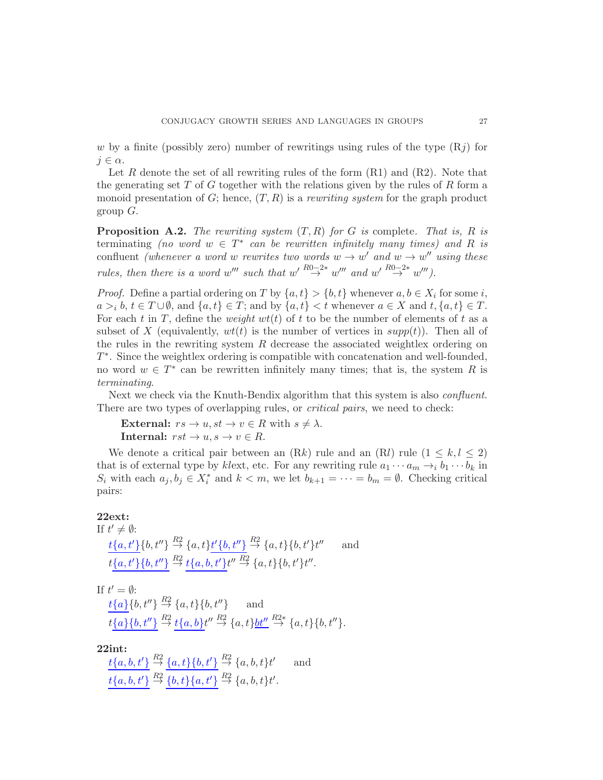w by a finite (possibly zero) number of rewritings using rules of the type  $(R<sub>i</sub>)$  for  $j \in \alpha$ .

Let R denote the set of all rewriting rules of the form  $(R1)$  and  $(R2)$ . Note that the generating set  $T$  of  $G$  together with the relations given by the rules of  $R$  form a monoid presentation of G; hence,  $(T, R)$  is a *rewriting system* for the graph product group  $G$ .

<span id="page-26-0"></span>**Proposition A.2.** The rewriting system  $(T, R)$  for G is complete. That is, R is terminating (no word  $w \in T^*$  can be rewritten infinitely many times) and R is confluent (whenever a word w rewrites two words  $w \to w'$  and  $w \to w''$  using these rules, then there is a word w''' such that  $w' \stackrel{R0-2*}{\rightarrow} w'''$  and  $w' \stackrel{R0-2*}{\rightarrow} w'''$ .

*Proof.* Define a partial ordering on T by  $\{a, t\} > \{b, t\}$  whenever  $a, b \in X_i$  for some i,  $a >i b, t \in T \cup \emptyset$ , and  $\{a, t\} \in T$ ; and by  $\{a, t\} < t$  whenever  $a \in X$  and  $t, \{a, t\} \in T$ . For each t in T, define the weight  $wt(t)$  of t to be the number of elements of t as a subset of X (equivalently,  $wt(t)$  is the number of vertices in  $supp(t)$ ). Then all of the rules in the rewriting system  $R$  decrease the associated weightlex ordering on T ∗ . Since the weightlex ordering is compatible with concatenation and well-founded, no word  $w \in T^*$  can be rewritten infinitely many times; that is, the system R is terminating.

Next we check via the Knuth-Bendix algorithm that this system is also *confluent*. There are two types of overlapping rules, or *critical pairs*, we need to check:

External:  $rs \to u, st \to v \in R$  with  $s \neq \lambda$ . Internal:  $rst \rightarrow u, s \rightarrow v \in R$ .

We denote a critical pair between an  $(Rk)$  rule and an  $(Rl)$  rule  $(1 \leq k, l \leq 2)$ that is of external type by klext, etc. For any rewriting rule  $a_1 \cdots a_m \rightarrow_i b_1 \cdots b_k$  in  $S_i$  with each  $a_j, b_j \in X_i^*$  and  $k < m$ , we let  $b_{k+1} = \cdots = b_m = \emptyset$ . Checking critical pairs:

#### 22ext:

If 
$$
t' \neq \emptyset
$$
:  
\n
$$
\frac{t\{a, t'\}\{b, t''\}}{t\{a, t'\}\{b, t''\}} \stackrel{R^2}{\rightarrow} \{a, t\} \frac{t'}{\{b, t''\}} \stackrel{R^2}{\rightarrow} \{a, t\}\{b, t'\} t'' \quad \text{and}
$$
\n
$$
\frac{t\{a, t'\}\{b, t''\}}{t^2} \stackrel{R^2}{\rightarrow} \frac{t\{a, b, t'\} t''}{t^2} \stackrel{R^2}{\rightarrow} \{a, t\}\{b, t'\} t''.
$$

If  $t' = \emptyset$ :  $t\{a\}\{b, t''\} \stackrel{R2}{\rightarrow} \{a, t\}\{b, t''\}$  and  $t\{a\}\{b, t''\} \stackrel{R2}{\rightarrow} t\{a, b\}t'' \stackrel{R2}{\rightarrow} \{a, t\}\underline{bt''} \stackrel{R2*}{\rightarrow} \{a, t\}\{b, t''\}.$ 

22int:

 $t\{a,b,t'\}\stackrel{R2}{\rightarrow} \{a,t\}\{b,t'\}\stackrel{R2}{\rightarrow} \{a,b,t\}t$ ′ and  $t\{a,b,t'\} \stackrel{R2}{\rightarrow} \{b,t\}\{a,t'\} \stackrel{R2}{\rightarrow} \{a,b,t\}t'.$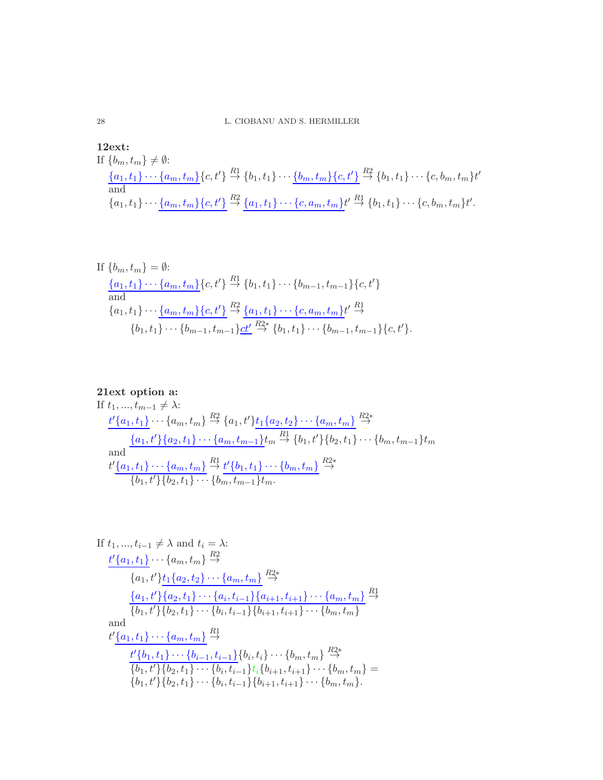28 L. CIOBANU AND S. HERMILLER

**12ext:**  
\nIf 
$$
\{b_m, t_m\} \neq \emptyset
$$
:  
\n
$$
\frac{\{a_1, t_1\} \cdots \{a_m, t_m\}}{\text{and}} \{c, t'\} \stackrel{R1}{\rightarrow} \{b_1, t_1\} \cdots \underbrace{\{b_m, t_m\} \{c, t'\}}_{\text{and}} \stackrel{R2}{\rightarrow} \{b_1, t_1\} \cdots \{c, b_m, t_m\} t'}_{\text{and}}
$$
\n
$$
\{a_1, t_1\} \cdots \underbrace{\{a_m, t_m\} \{c, t'\}}_{\text{and}} \stackrel{R2}{\rightarrow} \{a_1, t_1\} \cdots \{c, a_m, t_m\} t'}_{\text{and}}
$$

If 
$$
\{b_m, t_m\} = \emptyset
$$
:  
\n
$$
\frac{\{a_1, t_1\} \cdots \{a_m, t_m\}}{\text{and}} \{c, t'\} \stackrel{R_1}{\rightarrow} \{b_1, t_1\} \cdots \{b_{m-1}, t_{m-1}\} \{c, t'\}
$$
\n
$$
\{a_1, t_1\} \cdots \{a_m, t_m\} \{c, t'\} \stackrel{R_2}{\rightarrow} \{a_1, t_1\} \cdots \{c, a_m, t_m\} t' \stackrel{R_1}{\rightarrow} \{b_1, t_1\} \cdots \{b_{m-1}, t_{m-1}\} \underline{c t'} \stackrel{R_2}{\rightarrow} \{b_1, t_1\} \cdots \{b_{m-1}, t_{m-1}\} \{c, t'\}.
$$

**21ext option a:**  
\nIf 
$$
t_1, ..., t_{m-1} \neq \lambda
$$
:  
\n
$$
\frac{t'\{a_1, t_1\} \cdots \{a_m, t_m\}}{\longrightarrow} \{a_1, t'\}\frac{R_2}{\longrightarrow} \{a_1, t'\}\frac{t_1\{a_2, t_2\} \cdots \{a_m, t_m\}}{\longrightarrow} \frac{\{a_1, t'\}\{a_2, t_1\} \cdots \{a_m, t_{m-1}\} t_m}{\longrightarrow} \{b_1, t'\}\{b_2, t_1\} \cdots \{b_m, t_{m-1}\} t_m
$$
\n
$$
\frac{t'\{a_1, t_1\} \cdots \{a_m, t_m\}}{\{b_1, t'\}\{b_2, t_1\} \cdots \{b_m, t_{m-1}\} t_m} \xrightarrow{R_2^*}
$$

If 
$$
t_1, ..., t_{i-1} \neq \lambda
$$
 and  $t_i = \lambda$ :  
\n
$$
\frac{t'\{a_1, t_1\} \cdots \{a_m, t_m\}}{\{a_1, t'\}t_1\{a_2, t_2\} \cdots \{a_m, t_m\}} \stackrel{R2*}{\rightarrow}
$$
\n
$$
\frac{\{a_1, t'\} \{a_2, t_1\} \cdots \{a_i, t_{i-1}\} \{a_{i+1}, t_{i+1}\} \cdots \{a_m, t_m\}}{\{b_1, t'\} \{b_2, t_1\} \cdots \{b_i, t_{i-1}\} \{b_{i+1}, t_{i+1}\} \cdots \{b_m, t_m\}}
$$
\nand  
\n
$$
\frac{t'\{a_1, t_1\} \cdots \{a_m, t_m\}}{\{b_1, t'\} \{b_2, t_1\} \cdots \{b_{i-1}, t_{i-1}\} \{b_i, t_i\} \cdots \{b_m, t_m\}} \stackrel{R2*}{\rightarrow}
$$
\n
$$
\frac{t'\{b_1, t_1\} \cdots \{b_{i-1}, t_{i-1}\}}{\{b_1, t'\} \{b_2, t_1\} \cdots \{b_i, t_{i-1}\} \{b_{i+1}, t_{i+1}\} \cdots \{b_m, t_m\}} = \{b_1, t'\} \{b_2, t_1\} \cdots \{b_i, t_{i-1}\} \{b_{i+1}, t_{i+1}\} \cdots \{b_m, t_m\}.
$$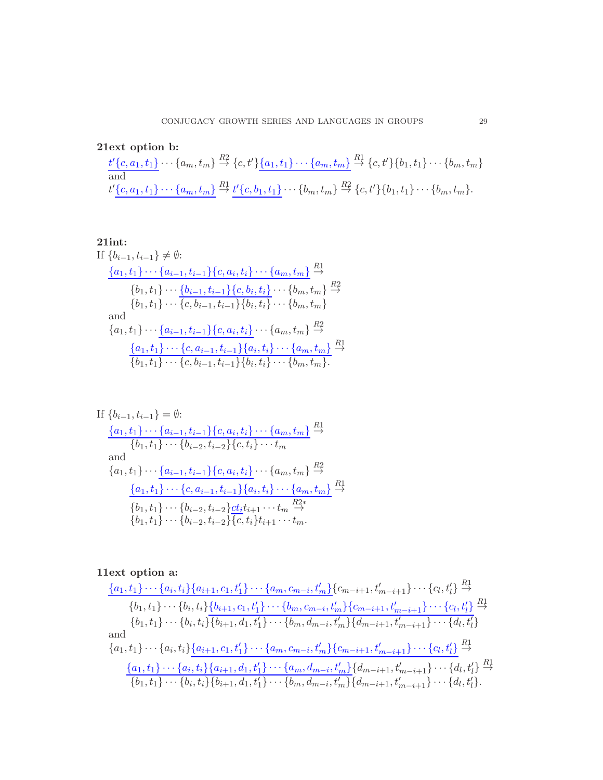21ext option b:

$$
\frac{t'\{c, a_1, t_1\}}{\text{and}} \cdots \{a_m, t_m\} \stackrel{R2}{\rightarrow} \{c, t'\} \{\underline{a_1, t_1\} \cdots \{\underline{a_m, t_m\}} \stackrel{R1}{\rightarrow} \{c, t'\} \{b_1, t_1\} \cdots \{b_m, t_m\}
$$
\n
$$
t'\{\underline{c, a_1, t_1\} \cdots \{\underline{a_m, t_m\}} \stackrel{R1}{\rightarrow} \underline{t'\{c, b_1, t_1\}} \cdots \{\underline{b_m, t_m\}} \stackrel{R2}{\rightarrow} \{c, t'\} \{\underline{b_1, t_1\} \cdots \{\underline{b_m, t_m\}}.
$$

**21int:**  
\nIf 
$$
\{b_{i-1}, t_{i-1}\} \neq \emptyset
$$
:  
\n
$$
\frac{\{a_1, t_1\} \cdots \{a_{i-1}, t_{i-1}\} \{c, a_i, t_i\} \cdots \{a_m, t_m\}}{\{b_1, t_1\} \cdots \{b_{i-1}, t_{i-1}\} \{c, b_i, t_i\} \cdots \{b_m, t_m\}} \xrightarrow{R^2}
$$
\n
$$
\{b_1, t_1\} \cdots \{c, b_{i-1}, t_{i-1}\} \{b_i, t_i\} \cdots \{b_m, t_m\}
$$
\nand\n
$$
\{a_1, t_1\} \cdots \{a_{i-1}, t_{i-1}\} \{c, a_i, t_i\} \cdots \{a_m, t_m\} \xrightarrow{R^2}
$$
\n
$$
\frac{\{a_1, t_1\} \cdots \{c, a_{i-1}, t_{i-1}\} \{a_i, t_i\} \cdots \{a_m, t_m\}}{\{b_1, t_1\} \cdots \{c, b_{i-1}, t_{i-1}\} \{b_i, t_i\} \cdots \{b_m, t_m\}}.
$$

If 
$$
\{b_{i-1}, t_{i-1}\} = \emptyset:
$$
  
\n
$$
\frac{\{a_1, t_1\} \cdots \{a_{i-1}, t_{i-1}\} \{c, a_i, t_i\} \cdots \{a_m, t_m\}}{\{b_1, t_1\} \cdots \{b_{i-2}, t_{i-2}\} \{c, t_i\} \cdots t_m}
$$
  
\nand  
\n
$$
\{a_1, t_1\} \cdots \{a_{i-1}, t_{i-1}\} \{c, a_i, t_i\} \cdots \{a_m, t_m\} \stackrel{R2}{\rightarrow}
$$
  
\n
$$
\frac{\{a_1, t_1\} \cdots \{c, a_{i-1}, t_{i-1}\} \{a_i, t_i\} \cdots \{a_m, t_m\}}{\{b_1, t_1\} \cdots \{b_{i-2}, t_{i-2}\} \underline{ct_i} t_{i+1} \cdots t_m \stackrel{R2*}{\rightarrow}}
$$
  
\n
$$
\{b_1, t_1\} \cdots \{b_{i-2}, t_{i-2}\} \overline{\{c, t_i\}} t_{i+1} \cdots t_m.
$$

# 11ext option a:

$$
\frac{\{a_1, t_1\} \cdots \{a_i, t_i\} \{a_{i+1}, c_1, t'_1\} \cdots \{a_m, c_{m-i}, t'_m\}}{\{b_1, t_1\} \cdots \{b_i, t_i\} \{b_{i+1}, c_1, t'_1\} \cdots \{b_m, c_{m-i}, t'_m\} \{c_{m-i+1}, t'_{m-i+1}\} \cdots \{c_l, t'_l\}} \stackrel{R1}{\rightarrow}
$$
\n
$$
\{b_1, t_1\} \cdots \{b_i, t_i\} \{b_{i+1}, d_1, t'_1\} \cdots \{b_m, d_{m-i}, t'_m\} \{d_{m-i+1}, t'_{m-i+1}\} \cdots \{c_l, t'_l\} \stackrel{R1}{\rightarrow}
$$
\nand\n
$$
\{a_1, t_1\} \cdots \{a_i, t_i\} \{a_{i+1}, c_1, t'_1\} \cdots \{a_m, c_{m-i}, t'_m\} \{c_{m-i+1}, t'_{m-i+1}\} \cdots \{c_l, t'_l\} \stackrel{R1}{\rightarrow}
$$
\n
$$
\frac{\{a_1, t_1\} \cdots \{a_i, t_i\} \{a_{i+1}, d_1, t'_1\} \cdots \{a_m, d_{m-i}, t'_m\} \{d_{m-i+1}, t'_{m-i+1}\} \cdots \{d_l, t'_l\} \stackrel{R1}{\rightarrow}}{\{b_1, t_1\} \cdots \{b_i, t_i\} \{b_{i+1}, d_1, t'_1\} \cdots \{b_m, d_{m-i}, t'_m\} \{d_{m-i+1}, t'_{m-i+1}\} \cdots \{d_l, t'_l\}.
$$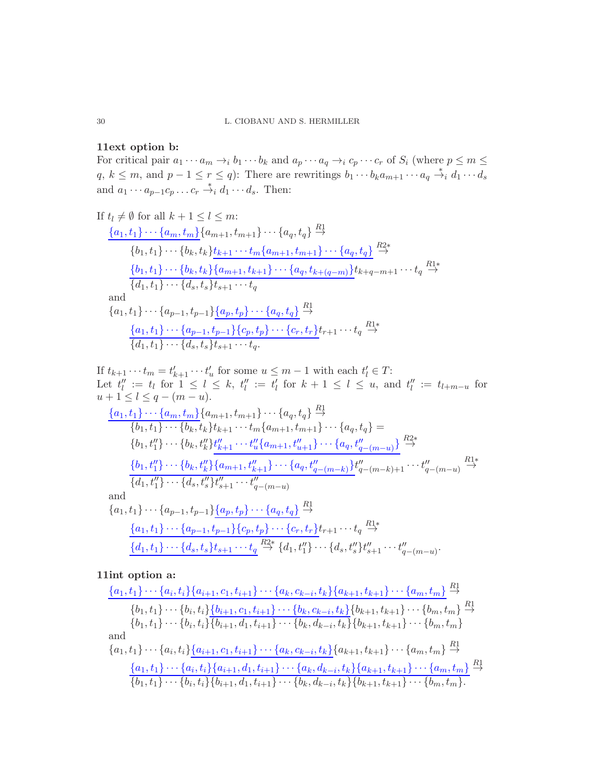# 11ext option b:

For critical pair  $a_1 \cdots a_m \rightarrow_i b_1 \cdots b_k$  and  $a_p \cdots a_q \rightarrow_i c_p \cdots c_r$  of  $S_i$  (where  $p \leq m \leq j$  $q, k \leq m$ , and  $p-1 \leq r \leq q$ : There are rewritings  $b_1 \cdots b_k a_{m+1} \cdots a_q \stackrel{*}{\rightarrow}_i d_1 \cdots d_s$ and  $a_1 \cdots a_{p-1}c_p \ldots c_r \stackrel{*}{\rightarrow}_i d_1 \cdots d_s$ . Then:

If 
$$
t_l \neq \emptyset
$$
 for all  $k + 1 \leq l \leq m$ :  
\n
$$
\frac{\{a_1, t_1\} \cdots \{a_m, t_m\} \{a_{m+1}, t_{m+1}\} \cdots \{a_q, t_q\}}{\{b_1, t_1\} \cdots \{b_k, t_k\} \{t_{k+1} \cdots t_m \{a_{m+1}, t_{m+1}\} \cdots \{a_q, t_q\}}}
$$
\n
$$
\frac{\{b_1, t_1\} \cdots \{b_k, t_k\} \{a_{m+1}, t_{k+1}\} \cdots \{a_q, t_{k+(q-m)}\} t_{k+q-m+1} \cdots t_q}{\{d_1, t_1\} \cdots \{d_s, t_s\} t_{s+1} \cdots t_q}
$$
\nand\n
$$
\{a_1, t_1\} \cdots \{a_{p-1}, t_{p-1}\} \{a_p, t_p\} \cdots \{a_q, t_q\} \xrightarrow{R_1^1}
$$
\n
$$
\frac{\{a_1, t_1\} \cdots \{a_{p-1}, t_{p-1}\} \{c_p, t_p\} \cdots \{c_r, t_r\} t_{r+1} \cdots t_q}{\{d_1, t_1\} \cdots \{d_s, t_s\} t_{s+1} \cdots t_q}.
$$

If  $t_{k+1} \cdots t_m = t'_{k+1} \cdots t'_u$  for some  $u \leq m-1$  with each  $t'_l \in T$ : Let  $t_l'':= t_l$  for  $1 \leq l \leq k$ ,  $t_l'':= t_l'$  for  $k+1 \leq l \leq u$ , and  $t_l'':= t_{l+m-u}$  for  $u + 1 \leq l \leq q - (m - u).$ 

$$
\frac{\{a_1, t_1\} \cdots \{a_m, t_m\}}{\{b_1, t_1\} \cdots \{b_k, t_k\} t_{k+1} \cdots t_m \{a_{m+1}, t_{m+1}\} \cdots \{a_q, t_q\}} =\n\{b_1, t_1'\} \cdots \{b_k, t_k'\} t_{k+1} \cdots t_m' \{a_{m+1}, t_{m+1}\} \cdots \{a_q, t_q'\} =\n\{b_1, t_1''\} \cdots \{b_k, t_k''\} t_{k+1}'' \cdots t_u'' \{a_{m+1}, t_{u+1}''\} \cdots \{a_q, t_{q-(m-u)}''\} \stackrel{R2*}{\rightarrow}\n\frac{\{b_1, t_1''\} \cdots \{b_k, t_k''\} \{a_{m+1}, t_{k+1}''\} \cdots \{a_q, t_{q-(m-k)}''\} t_q'' - (m-k+1} \cdots t_q'' - (m-u))}{\{d_1, t_1\} \cdots \{a_{p-1}, t_{p-1}\} \{a_p, t_p\} \cdots \{a_q, t_q\} \stackrel{R1}{\rightarrow}\n\frac{\{a_1, t_1\} \cdots \{a_{p-1}, t_{p-1}\} \{c_p, t_p\} \cdots \{c_r, t_r\} t_{r+1} \cdots t_q \stackrel{R1*}{\rightarrow}\n\frac{\{d_1, t_1\} \cdots \{a_p, t_s\} t_{s+1} \cdots t_q}{\{d_1, t_1\} \cdots \{d_s, t_s\} t_{s+1} \cdots t_q} \stackrel{R2*}{\rightarrow} \{d_1, t_1''\} \cdots \{d_s, t_s''\} t_{s+1}'' \cdots t_{q-(m-u)}''.
$$

11int option a:

$$
\frac{\{a_1, t_1\} \cdots \{a_i, t_i\} \{a_{i+1}, c_1, t_{i+1}\} \cdots \{a_k, c_{k-i}, t_k\} \{a_{k+1}, t_{k+1}\} \cdots \{a_m, t_m\}}{\{b_1, t_1\} \cdots \{b_i, t_i\} \{b_{i+1}, c_1, t_{i+1}\} \cdots \{b_k, c_{k-i}, t_k\} \{b_{k+1}, t_{k+1}\} \cdots \{b_m, t_m\}} \stackrel{R1}{\rightarrow}
$$
\n
$$
\{b_1, t_1\} \cdots \{b_i, t_i\} \overline{\{b_{i+1}, d_1, t_{i+1}\} \cdots \{b_k, d_{k-i}, t_k\}} \{b_{k+1}, t_{k+1}\} \cdots \{b_m, t_m\}
$$
\nand\n
$$
\{a_1, t_1\} \cdots \{a_i, t_i\} \underline{\{a_{i+1}, c_1, t_{i+1}\} \cdots \{a_k, c_{k-i}, t_k\}} \{a_{k+1}, t_{k+1}\} \cdots \{a_m, t_m\}} \stackrel{R1}{\rightarrow}
$$
\n
$$
\frac{\{a_1, t_1\} \cdots \{a_i, t_i\} \{a_{i+1}, d_1, t_{i+1}\} \cdots \{a_k, d_{k-i}, t_k\} \{a_{k+1}, t_{k+1}\} \cdots \{a_m, t_m\}}{\{b_1, t_1\} \cdots \{b_i, t_i\} \{b_{i+1}, d_1, t_{i+1}\} \cdots \{b_k, d_{k-i}, t_k\} \{b_{k+1}, t_{k+1}\} \cdots \{b_m, t_m\}}.
$$